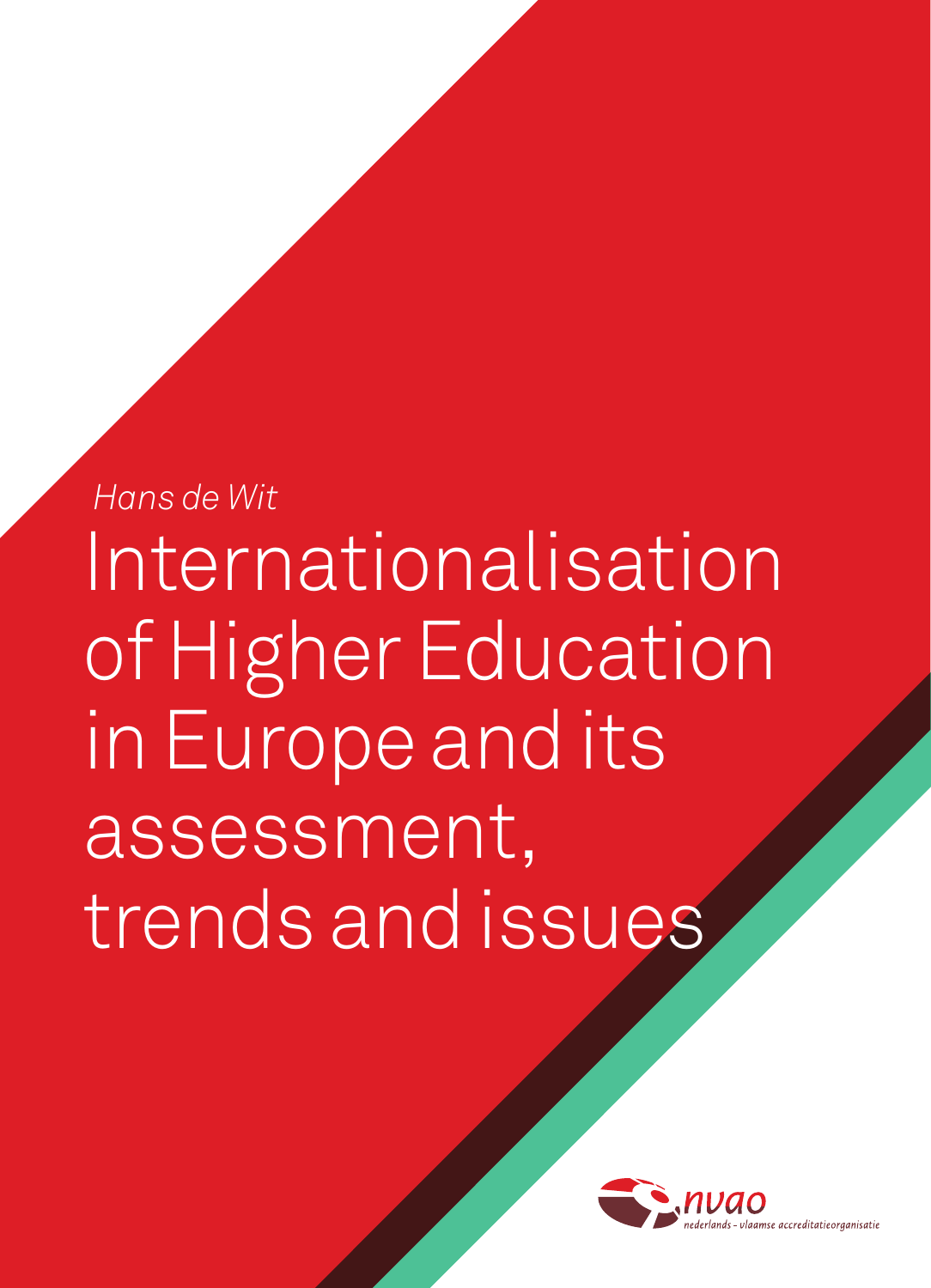*Hans de Wit* Internationalisation of Higher Education in Europe and its assessment, trends and issues

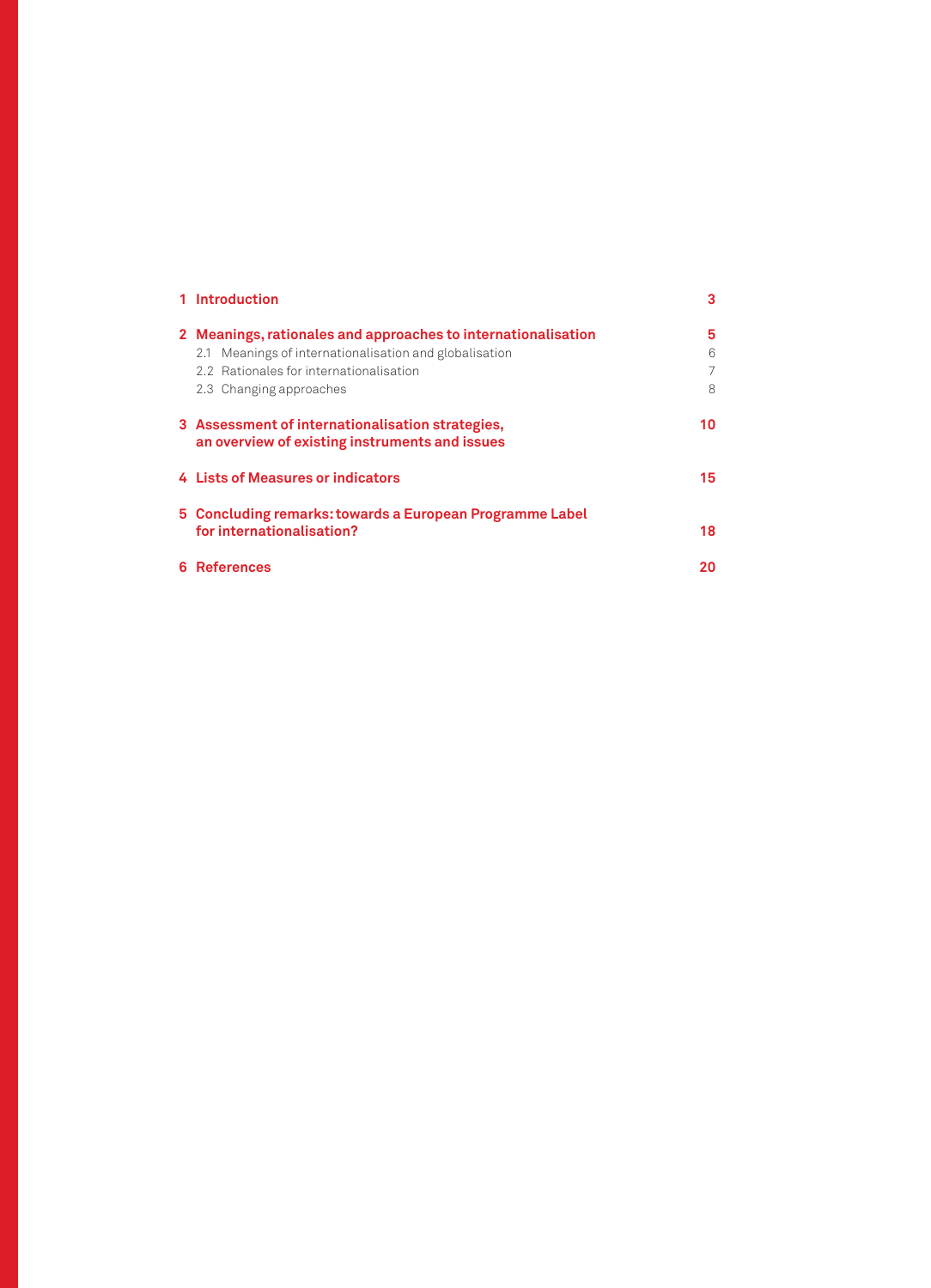| 1 Introduction                                                                                                                                                                                | 3                |
|-----------------------------------------------------------------------------------------------------------------------------------------------------------------------------------------------|------------------|
| 2 Meanings, rationales and approaches to internationalisation<br>2.1 Meanings of internationalisation and globalisation<br>2.2 Rationales for internationalisation<br>2.3 Changing approaches | 5<br>6<br>7<br>8 |
| 3 Assessment of internationalisation strategies,<br>an overview of existing instruments and issues                                                                                            | 10               |
| 4 Lists of Measures or indicators                                                                                                                                                             | 15               |
| 5 Concluding remarks: towards a European Programme Label<br>for internationalisation?                                                                                                         | 18               |
| 6 References                                                                                                                                                                                  | 20               |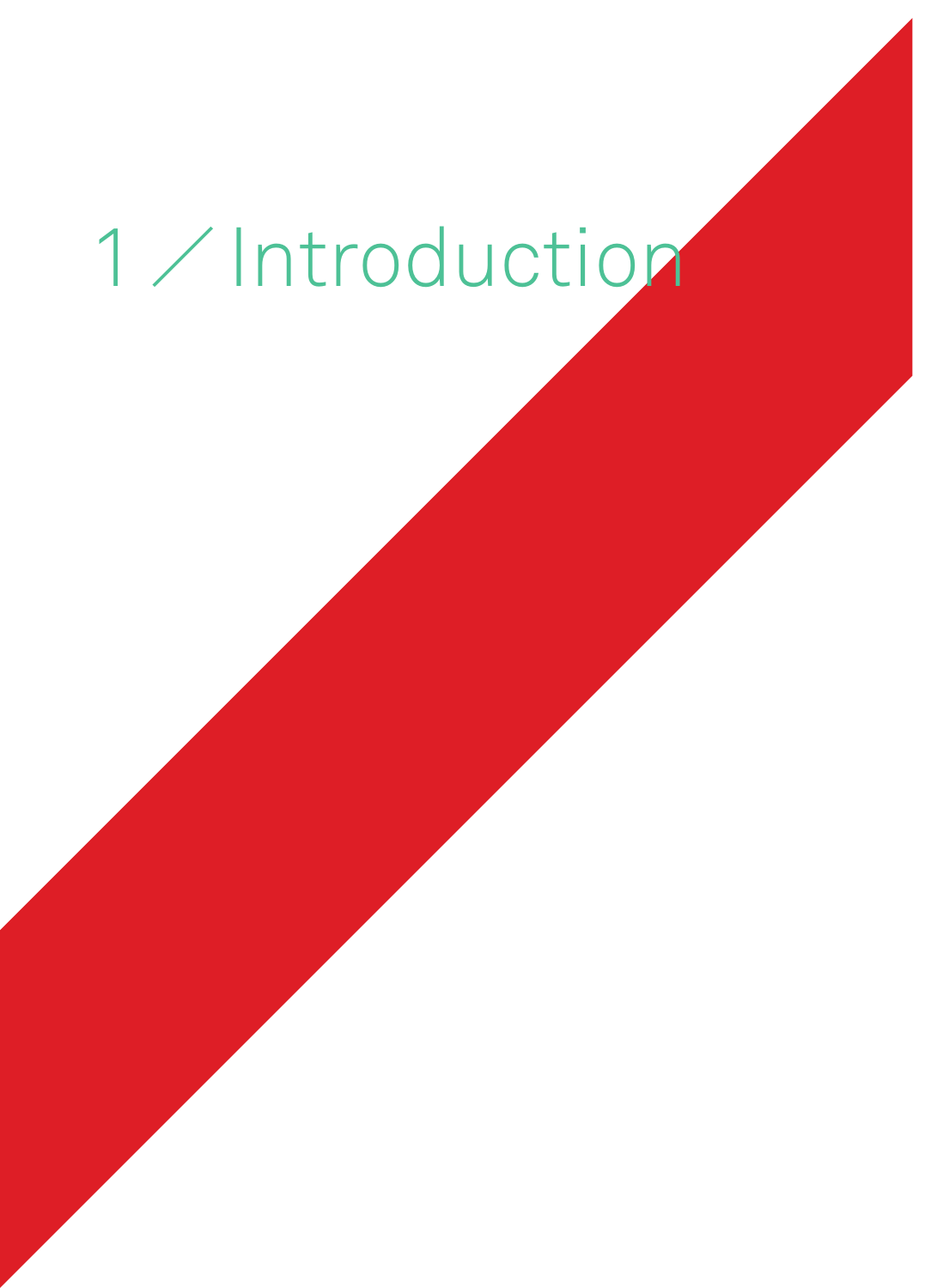# 1 / Introduction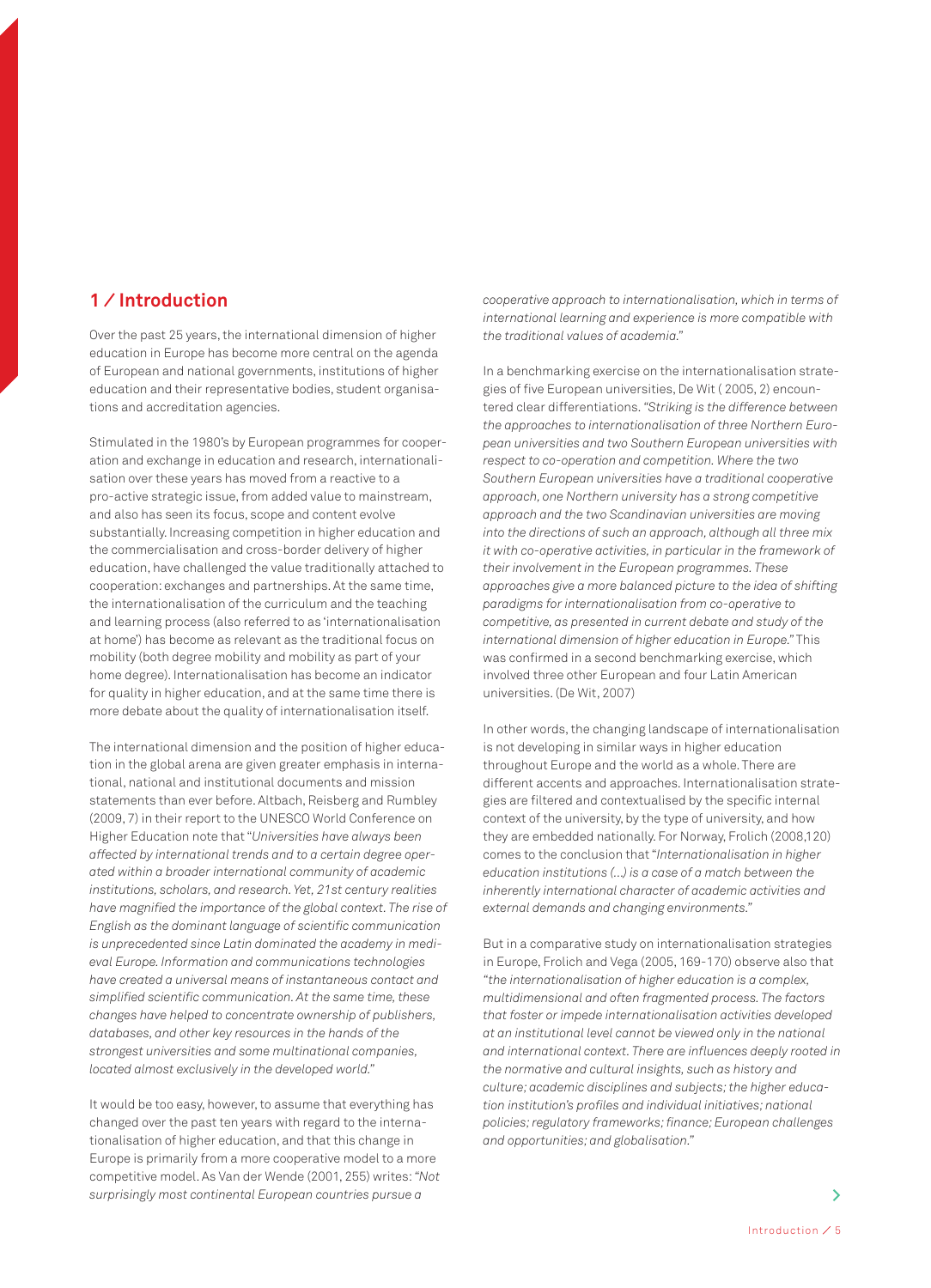## **1 ⁄ Introduction**

Over the past 25 years, the international dimension of higher education in Europe has become more central on the agenda of European and national governments, institutions of higher education and their representative bodies, student organisations and accreditation agencies.

Stimulated in the 1980's by European programmes for cooperation and exchange in education and research, internationalisation over these years has moved from a reactive to a pro-active strategic issue, from added value to mainstream, and also has seen its focus, scope and content evolve substantially. Increasing competition in higher education and the commercialisation and cross-border delivery of higher education, have challenged the value traditionally attached to cooperation: exchanges and partnerships. At the same time, the internationalisation of the curriculum and the teaching and learning process (also referred to as 'internationalisation at home') has become as relevant as the traditional focus on mobility (both degree mobility and mobility as part of your home degree). Internationalisation has become an indicator for quality in higher education, and at the same time there is more debate about the quality of internationalisation itself.

The international dimension and the position of higher education in the global arena are given greater emphasis in international, national and institutional documents and mission statements than ever before. Altbach, Reisberg and Rumbley (2009, 7) in their report to the UNESCO World Conference on Higher Education note that "*Universities have always been affected by international trends and to a certain degree operated within a broader international community of academic institutions, scholars, and research. Yet, 21st century realities have magnified the importance of the global context. The rise of English as the dominant language of scientific communication is unprecedented since Latin dominated the academy in medieval Europe. Information and communications technologies have created a universal means of instantaneous contact and simplified scientific communication. At the same time, these changes have helped to concentrate ownership of publishers, databases, and other key resources in the hands of the strongest universities and some multinational companies, located almost exclusively in the developed world."*

It would be too easy, however, to assume that everything has changed over the past ten years with regard to the internationalisation of higher education, and that this change in Europe is primarily from a more cooperative model to a more competitive model. As Van der Wende (2001, 255) writes: *"Not surprisingly most continental European countries pursue a* 

*cooperative approach to internationalisation, which in terms of international learning and experience is more compatible with the traditional values of academia."*

In a benchmarking exercise on the internationalisation strategies of five European universities, De Wit ( 2005, 2) encountered clear differentiations. *"Striking is the difference between the approaches to internationalisation of three Northern European universities and two Southern European universities with respect to co-operation and competition. Where the two Southern European universities have a traditional cooperative approach, one Northern university has a strong competitive approach and the two Scandinavian universities are moving into the directions of such an approach, although all three mix it with co-operative activities, in particular in the framework of their involvement in the European programmes. These approaches give a more balanced picture to the idea of shifting paradigms for internationalisation from co-operative to competitive, as presented in current debate and study of the international dimension of higher education in Europe."* This was confirmed in a second benchmarking exercise, which involved three other European and four Latin American universities. (De Wit, 2007)

In other words, the changing landscape of internationalisation is not developing in similar ways in higher education throughout Europe and the world as a whole. There are different accents and approaches. Internationalisation strategies are filtered and contextualised by the specific internal context of the university, by the type of university, and how they are embedded nationally. For Norway, Frolich (2008,120) comes to the conclusion that "*Internationalisation in higher education institutions (...) is a case of a match between the inherently international character of academic activities and external demands and changing environments."*

But in a comparative study on internationalisation strategies in Europe, Frolich and Vega (2005, 169-170) observe also that *"the internationalisation of higher education is a complex, multidimensional and often fragmented process. The factors that foster or impede internationalisation activities developed at an institutional level cannot be viewed only in the national and international context. There are influences deeply rooted in the normative and cultural insights, such as history and culture; academic disciplines and subjects; the higher education institution's profiles and individual initiatives; national policies; regulatory frameworks; finance; European challenges and opportunities; and globalisation."*

**>**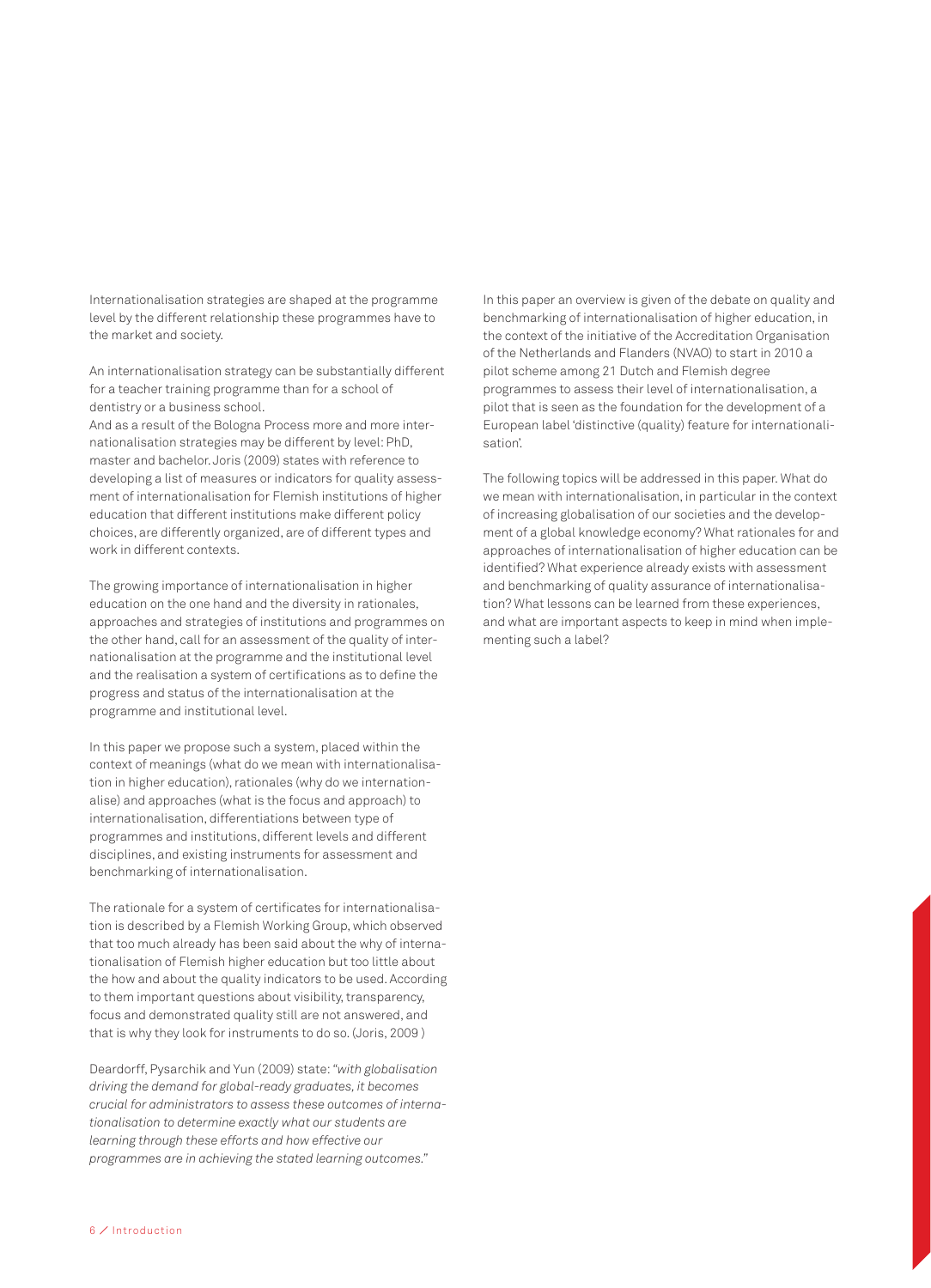Internationalisation strategies are shaped at the programme level by the different relationship these programmes have to the market and society.

An internationalisation strategy can be substantially different for a teacher training programme than for a school of dentistry or a business school.

And as a result of the Bologna Process more and more internationalisation strategies may be different by level: PhD, master and bachelor. Joris (2009) states with reference to developing a list of measures or indicators for quality assessment of internationalisation for Flemish institutions of higher education that different institutions make different policy choices, are differently organized, are of different types and work in different contexts.

The growing importance of internationalisation in higher education on the one hand and the diversity in rationales, approaches and strategies of institutions and programmes on the other hand, call for an assessment of the quality of internationalisation at the programme and the institutional level and the realisation a system of certifications as to define the progress and status of the internationalisation at the programme and institutional level.

In this paper we propose such a system, placed within the context of meanings (what do we mean with internationalisation in higher education), rationales (why do we internationalise) and approaches (what is the focus and approach) to internationalisation, differentiations between type of programmes and institutions, different levels and different disciplines, and existing instruments for assessment and benchmarking of internationalisation.

The rationale for a system of certificates for internationalisation is described by a Flemish Working Group, which observed that too much already has been said about the why of internationalisation of Flemish higher education but too little about the how and about the quality indicators to be used. According to them important questions about visibility, transparency, focus and demonstrated quality still are not answered, and that is why they look for instruments to do so. (Joris, 2009 )

Deardorff, Pysarchik and Yun (2009) state: *"with globalisation driving the demand for global-ready graduates, it becomes crucial for administrators to assess these outcomes of internationalisation to determine exactly what our students are learning through these efforts and how effective our programmes are in achieving the stated learning outcomes."*

In this paper an overview is given of the debate on quality and benchmarking of internationalisation of higher education, in the context of the initiative of the Accreditation Organisation of the Netherlands and Flanders (NVAO) to start in 2010 a pilot scheme among 21 Dutch and Flemish degree programmes to assess their level of internationalisation, a pilot that is seen as the foundation for the development of a European label 'distinctive (quality) feature for internationalisation'.

The following topics will be addressed in this paper. What do we mean with internationalisation, in particular in the context of increasing globalisation of our societies and the development of a global knowledge economy? What rationales for and approaches of internationalisation of higher education can be identified? What experience already exists with assessment and benchmarking of quality assurance of internationalisation? What lessons can be learned from these experiences, and what are important aspects to keep in mind when implementing such a label?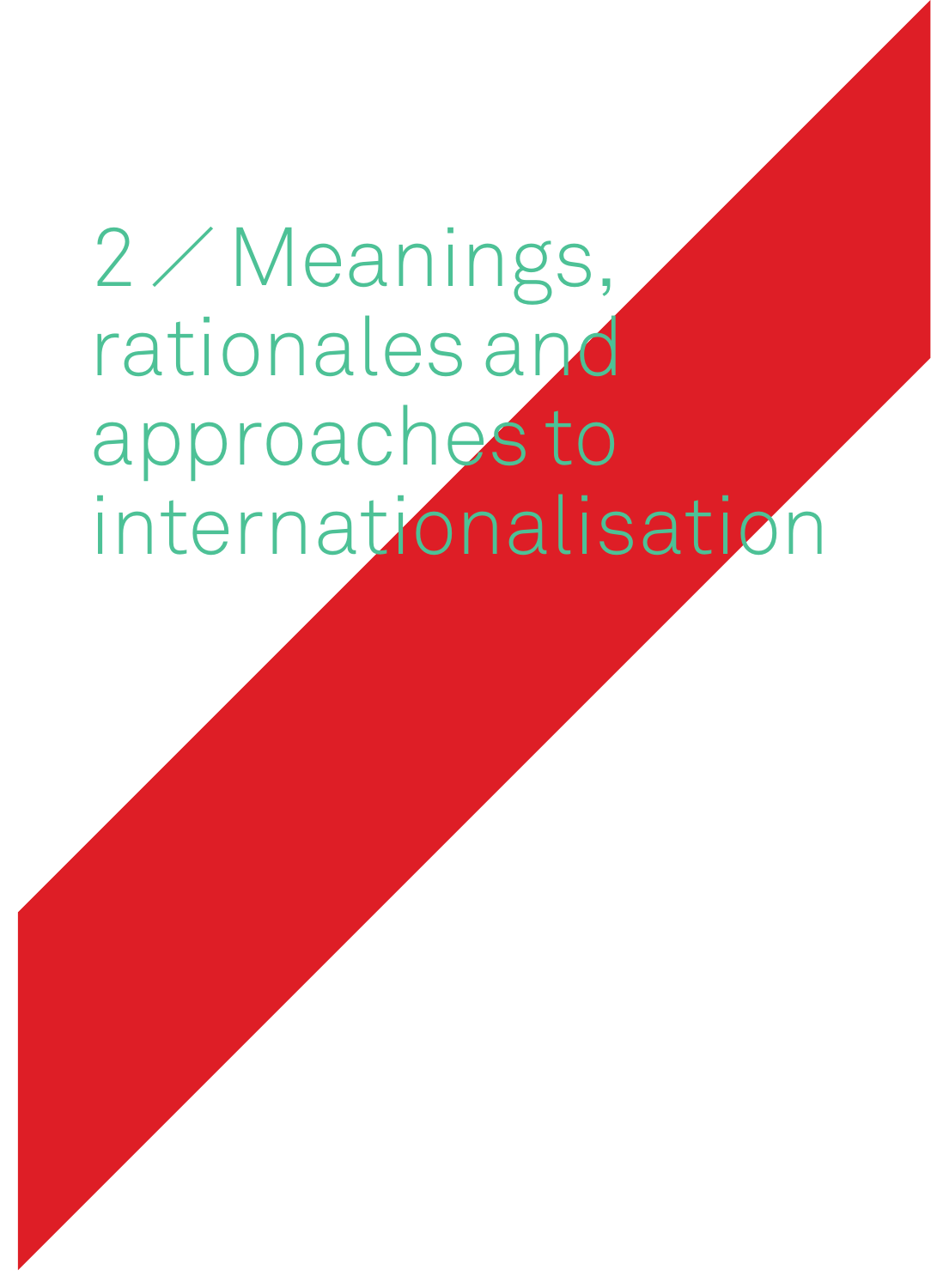## 2 ⁄ Meanings, rationales and approaches to internationalisation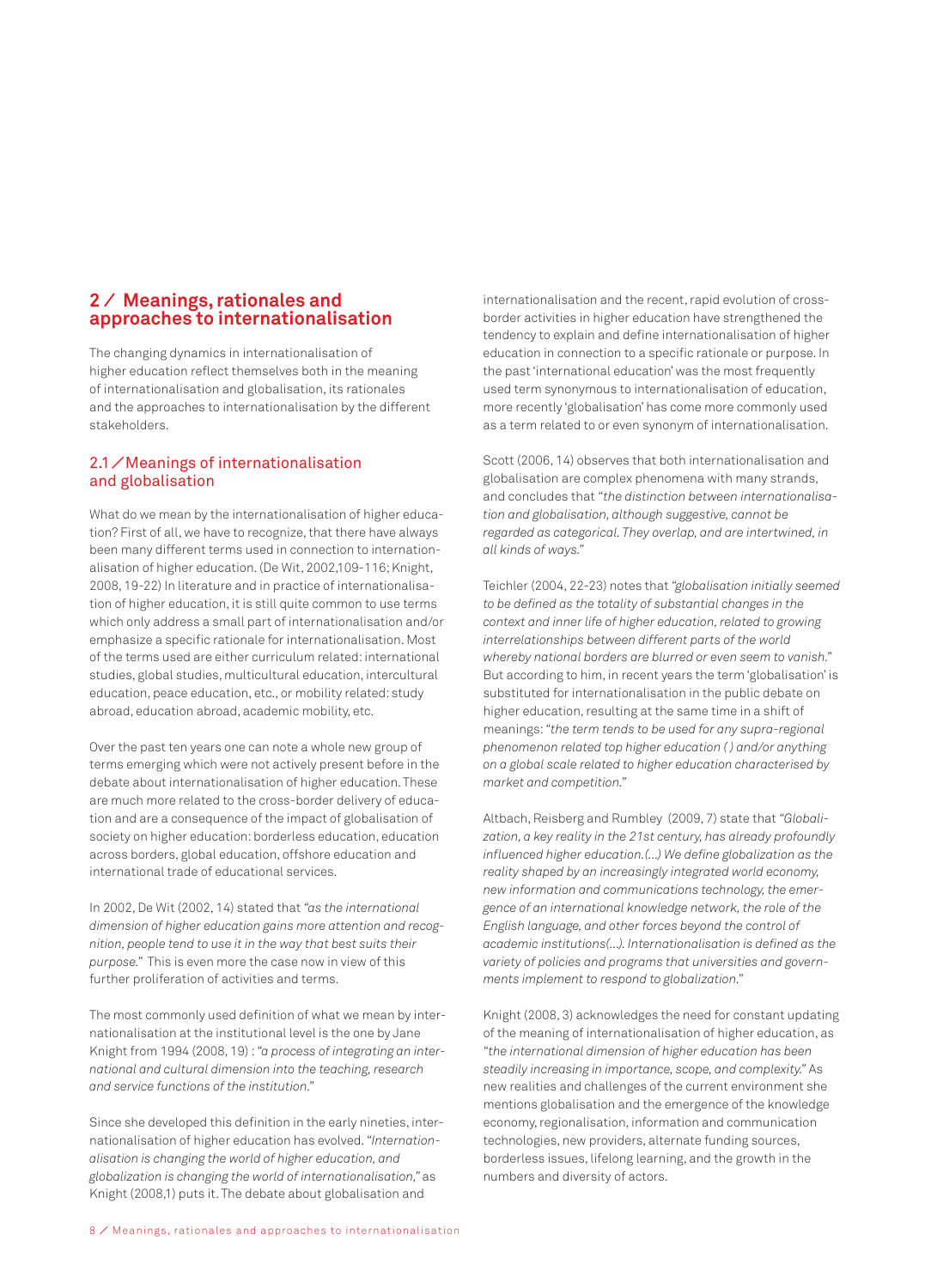## **2 ⁄ Meanings, rationales and approaches to internationalisation**

The changing dynamics in internationalisation of higher education reflect themselves both in the meaning of internationalisation and globalisation, its rationales and the approaches to internationalisation by the different stakeholders.

### 2.1⁄ Meanings of internationalisation and globalisation

What do we mean by the internationalisation of higher education? First of all, we have to recognize, that there have always been many different terms used in connection to internationalisation of higher education. (De Wit, 2002,109-116; Knight, 2008, 19-22) In literature and in practice of internationalisation of higher education, it is still quite common to use terms which only address a small part of internationalisation and/or emphasize a specific rationale for internationalisation. Most of the terms used are either curriculum related: international studies, global studies, multicultural education, intercultural education, peace education, etc., or mobility related: study abroad, education abroad, academic mobility, etc.

Over the past ten years one can note a whole new group of terms emerging which were not actively present before in the debate about internationalisation of higher education. These are much more related to the cross-border delivery of education and are a consequence of the impact of globalisation of society on higher education: borderless education, education across borders, global education, offshore education and international trade of educational services.

In 2002, De Wit (2002, 14) stated that *"as the international dimension of higher education gains more attention and recognition, people tend to use it in the way that best suits their purpose."* This is even more the case now in view of this further proliferation of activities and terms.

The most commonly used definition of what we mean by internationalisation at the institutional level is the one by Jane Knight from 1994 (2008, 19) : *"a process of integrating an international and cultural dimension into the teaching, research and service functions of the institution."* 

Since she developed this definition in the early nineties, internationalisation of higher education has evolved. *"Internationalisation is changing the world of higher education, and globalization is changing the world of internationalisation,"* as Knight (2008,1) puts it. The debate about globalisation and

internationalisation and the recent, rapid evolution of crossborder activities in higher education have strengthened the tendency to explain and define internationalisation of higher education in connection to a specific rationale or purpose. In the past 'international education' was the most frequently used term synonymous to internationalisation of education, more recently 'globalisation' has come more commonly used as a term related to or even synonym of internationalisation.

Scott (2006, 14) observes that both internationalisation and globalisation are complex phenomena with many strands, and concludes that *"the distinction between internationalisation and globalisation, although suggestive, cannot be regarded as categorical. They overlap, and are intertwined, in all kinds of ways."*

Teichler (2004, 22-23) notes that *"globalisation initially seemed to be defined as the totality of substantial changes in the context and inner life of higher education, related to growing interrelationships between different parts of the world whereby national borders are blurred or even seem to vanish."*  But according to him, in recent years the term 'globalisation' is substituted for internationalisation in the public debate on higher education, resulting at the same time in a shift of meanings: *"the term tends to be used for any supra-regional phenomenon related top higher education ( ) and/or anything on a global scale related to higher education characterised by market and competition."*

Altbach, Reisberg and Rumbley (2009, 7) state that *"Globalization, a key reality in the 21st century, has already profoundly influenced higher education.(...) We define globalization as the reality shaped by an increasingly integrated world economy, new information and communications technology, the emergence of an international knowledge network, the role of the English language, and other forces beyond the control of academic institutions(...). Internationalisation is defined as the variety of policies and programs that universities and governments implement to respond to globalization."*

Knight (2008, 3) acknowledges the need for constant updating of the meaning of internationalisation of higher education, as *"the international dimension of higher education has been steadily increasing in importance, scope, and complexity."* As new realities and challenges of the current environment she mentions globalisation and the emergence of the knowledge economy, regionalisation, information and communication technologies, new providers, alternate funding sources, borderless issues, lifelong learning, and the growth in the numbers and diversity of actors.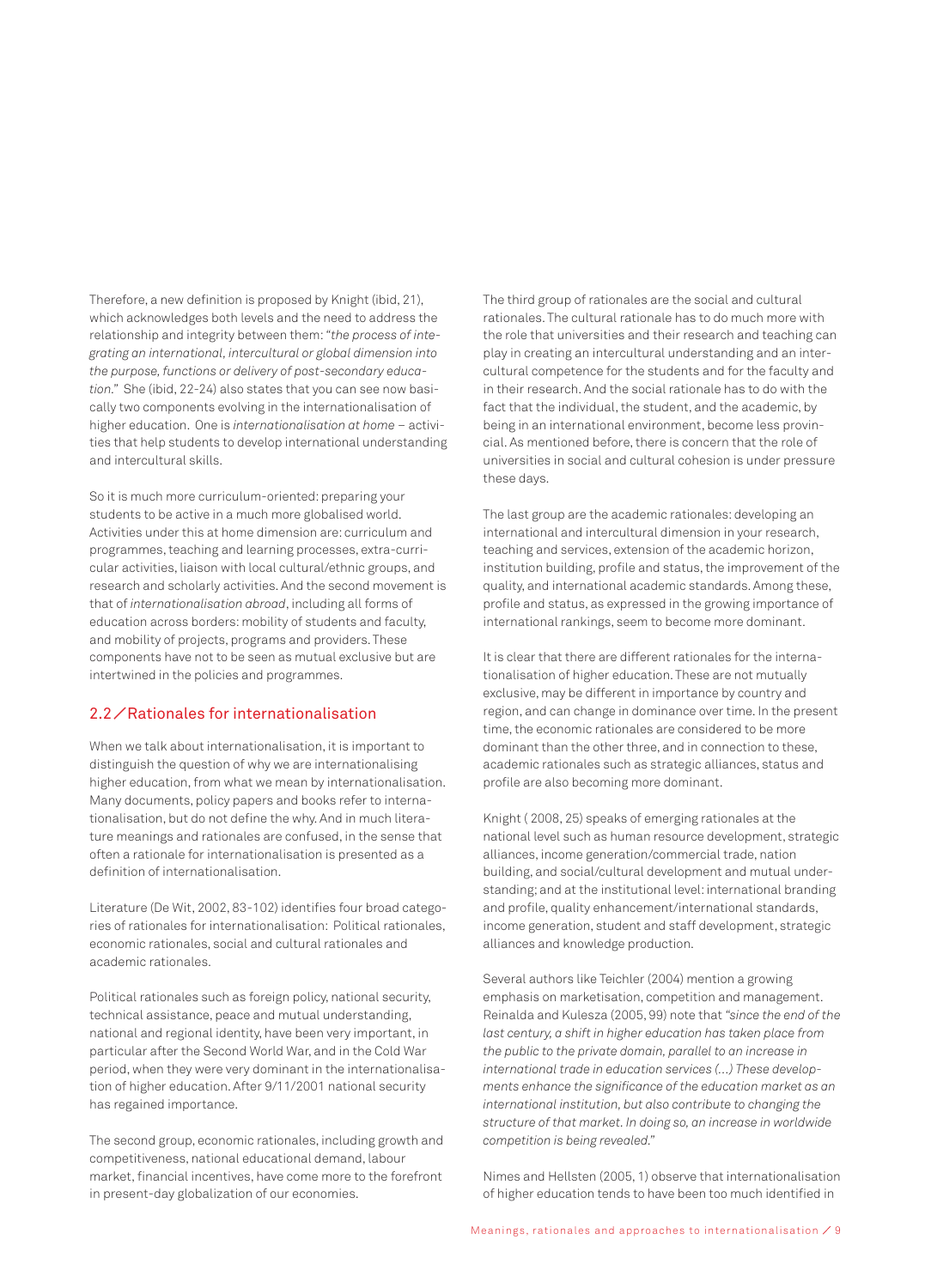Therefore, a new definition is proposed by Knight (ibid, 21), which acknowledges both levels and the need to address the relationship and integrity between them: *"the process of integrating an international, intercultural or global dimension into the purpose, functions or delivery of post-secondary education."* She (ibid, 22-24) also states that you can see now basically two components evolving in the internationalisation of higher education. One is *internationalisation at home* – activities that help students to develop international understanding and intercultural skills.

So it is much more curriculum-oriented: preparing your students to be active in a much more globalised world. Activities under this at home dimension are: curriculum and programmes, teaching and learning processes, extra-curricular activities, liaison with local cultural/ethnic groups, and research and scholarly activities. And the second movement is that of *internationalisation abroad*, including all forms of education across borders: mobility of students and faculty, and mobility of projects, programs and providers. These components have not to be seen as mutual exclusive but are intertwined in the policies and programmes.

## 2.2⁄ Rationales for internationalisation

When we talk about internationalisation, it is important to distinguish the question of why we are internationalising higher education, from what we mean by internationalisation. Many documents, policy papers and books refer to internationalisation, but do not define the why. And in much literature meanings and rationales are confused, in the sense that often a rationale for internationalisation is presented as a definition of internationalisation.

Literature (De Wit, 2002, 83-102) identifies four broad categories of rationales for internationalisation: Political rationales, economic rationales, social and cultural rationales and academic rationales.

Political rationales such as foreign policy, national security, technical assistance, peace and mutual understanding, national and regional identity, have been very important, in particular after the Second World War, and in the Cold War period, when they were very dominant in the internationalisation of higher education. After 9/11/2001 national security has regained importance.

The second group, economic rationales, including growth and competitiveness, national educational demand, labour market, financial incentives, have come more to the forefront in present-day globalization of our economies.

The third group of rationales are the social and cultural rationales. The cultural rationale has to do much more with the role that universities and their research and teaching can play in creating an intercultural understanding and an intercultural competence for the students and for the faculty and in their research. And the social rationale has to do with the fact that the individual, the student, and the academic, by being in an international environment, become less provincial. As mentioned before, there is concern that the role of universities in social and cultural cohesion is under pressure these days.

The last group are the academic rationales: developing an international and intercultural dimension in your research, teaching and services, extension of the academic horizon, institution building, profile and status, the improvement of the quality, and international academic standards. Among these, profile and status, as expressed in the growing importance of international rankings, seem to become more dominant.

It is clear that there are different rationales for the internationalisation of higher education. These are not mutually exclusive, may be different in importance by country and region, and can change in dominance over time. In the present time, the economic rationales are considered to be more dominant than the other three, and in connection to these, academic rationales such as strategic alliances, status and profile are also becoming more dominant.

Knight ( 2008, 25) speaks of emerging rationales at the national level such as human resource development, strategic alliances, income generation/commercial trade, nation building, and social/cultural development and mutual understanding; and at the institutional level: international branding and profile, quality enhancement/international standards, income generation, student and staff development, strategic alliances and knowledge production.

Several authors like Teichler (2004) mention a growing emphasis on marketisation, competition and management. Reinalda and Kulesza (2005, 99) note that *"since the end of the last century, a shift in higher education has taken place from the public to the private domain, parallel to an increase in international trade in education services (…) These developments enhance the significance of the education market as an international institution, but also contribute to changing the structure of that market. In doing so, an increase in worldwide competition is being revealed."* 

Nimes and Hellsten (2005, 1) observe that internationalisation of higher education tends to have been too much identified in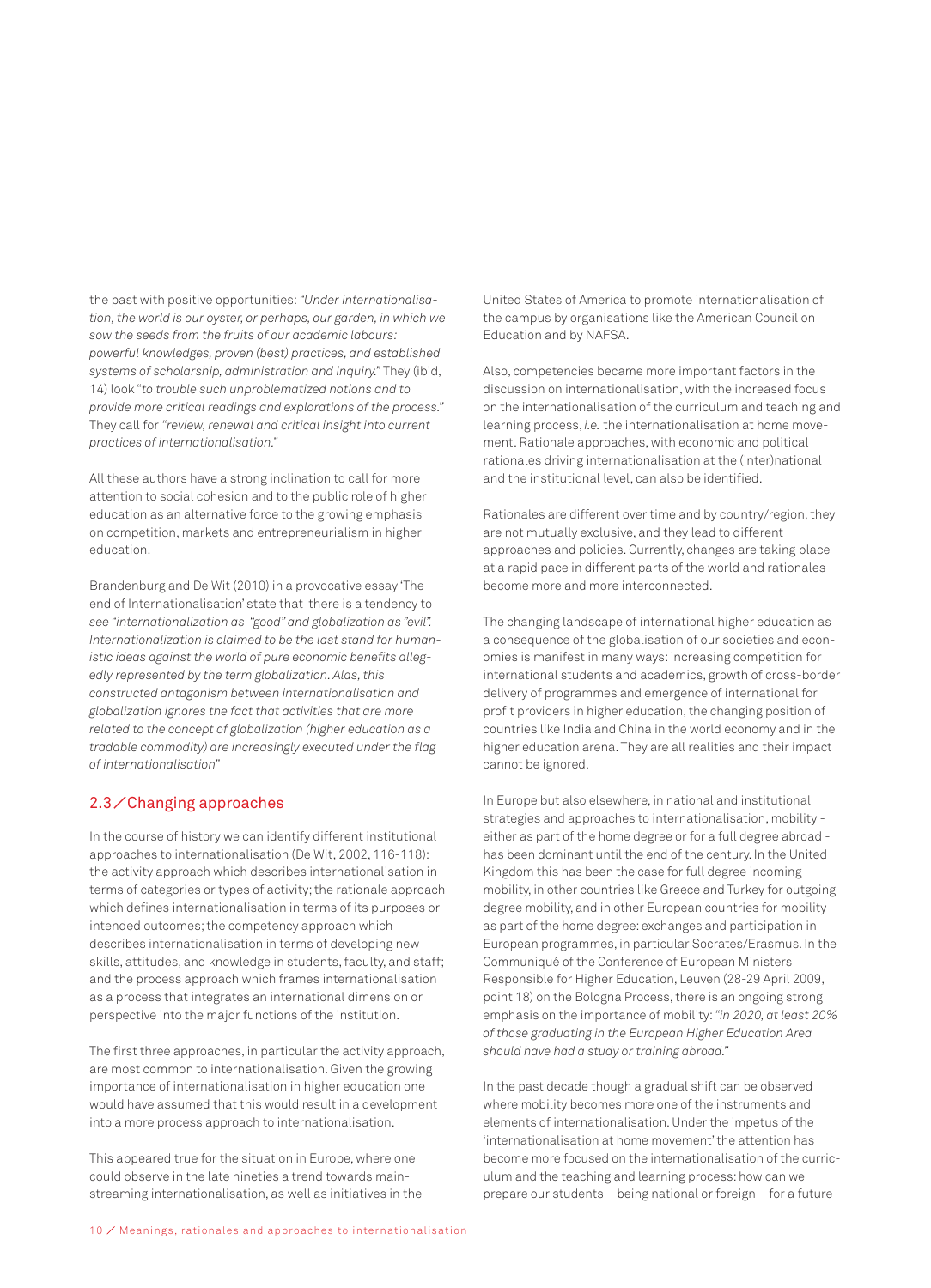the past with positive opportunities: *"Under internationalisation, the world is our oyster, or perhaps, our garden, in which we sow the seeds from the fruits of our academic labours: powerful knowledges, proven (best) practices, and established systems of scholarship, administration and inquiry."* They (ibid, 14) look "*to trouble such unproblematized notions and to provide more critical readings and explorations of the process."* They call for *"review, renewal and critical insight into current practices of internationalisation."*

All these authors have a strong inclination to call for more attention to social cohesion and to the public role of higher education as an alternative force to the growing emphasis on competition, markets and entrepreneurialism in higher education.

Brandenburg and De Wit (2010) in a provocative essay 'The end of Internationalisation' state that there is a tendency to *see "internationalization as "good" and globalization as "evil". Internationalization is claimed to be the last stand for humanistic ideas against the world of pure economic benefits allegedly represented by the term globalization. Alas, this constructed antagonism between internationalisation and globalization ignores the fact that activities that are more related to the concept of globalization (higher education as a tradable commodity) are increasingly executed under the flag of internationalisation"*

### 2.3⁄ Changing approaches

In the course of history we can identify different institutional approaches to internationalisation (De Wit, 2002, 116-118): the activity approach which describes internationalisation in terms of categories or types of activity; the rationale approach which defines internationalisation in terms of its purposes or intended outcomes; the competency approach which describes internationalisation in terms of developing new skills, attitudes, and knowledge in students, faculty, and staff; and the process approach which frames internationalisation as a process that integrates an international dimension or perspective into the major functions of the institution.

The first three approaches, in particular the activity approach, are most common to internationalisation. Given the growing importance of internationalisation in higher education one would have assumed that this would result in a development into a more process approach to internationalisation.

This appeared true for the situation in Europe, where one could observe in the late nineties a trend towards mainstreaming internationalisation, as well as initiatives in the United States of America to promote internationalisation of the campus by organisations like the American Council on Education and by NAFSA.

Also, competencies became more important factors in the discussion on internationalisation, with the increased focus on the internationalisation of the curriculum and teaching and learning process, *i.e.* the internationalisation at home movement. Rationale approaches, with economic and political rationales driving internationalisation at the (inter)national and the institutional level, can also be identified.

Rationales are different over time and by country/region, they are not mutually exclusive, and they lead to different approaches and policies. Currently, changes are taking place at a rapid pace in different parts of the world and rationales become more and more interconnected.

The changing landscape of international higher education as a consequence of the globalisation of our societies and economies is manifest in many ways: increasing competition for international students and academics, growth of cross-border delivery of programmes and emergence of international for profit providers in higher education, the changing position of countries like India and China in the world economy and in the higher education arena. They are all realities and their impact cannot be ignored.

In Europe but also elsewhere, in national and institutional strategies and approaches to internationalisation, mobility either as part of the home degree or for a full degree abroad has been dominant until the end of the century. In the United Kingdom this has been the case for full degree incoming mobility, in other countries like Greece and Turkey for outgoing degree mobility, and in other European countries for mobility as part of the home degree: exchanges and participation in European programmes, in particular Socrates/Erasmus. In the Communiqué of the Conference of European Ministers Responsible for Higher Education, Leuven (28-29 April 2009, point 18) on the Bologna Process, there is an ongoing strong emphasis on the importance of mobility: *"in 2020, at least 20% of those graduating in the European Higher Education Area should have had a study or training abroad."*

In the past decade though a gradual shift can be observed where mobility becomes more one of the instruments and elements of internationalisation. Under the impetus of the 'internationalisation at home movement' the attention has become more focused on the internationalisation of the curriculum and the teaching and learning process: how can we prepare our students – being national or foreign – for a future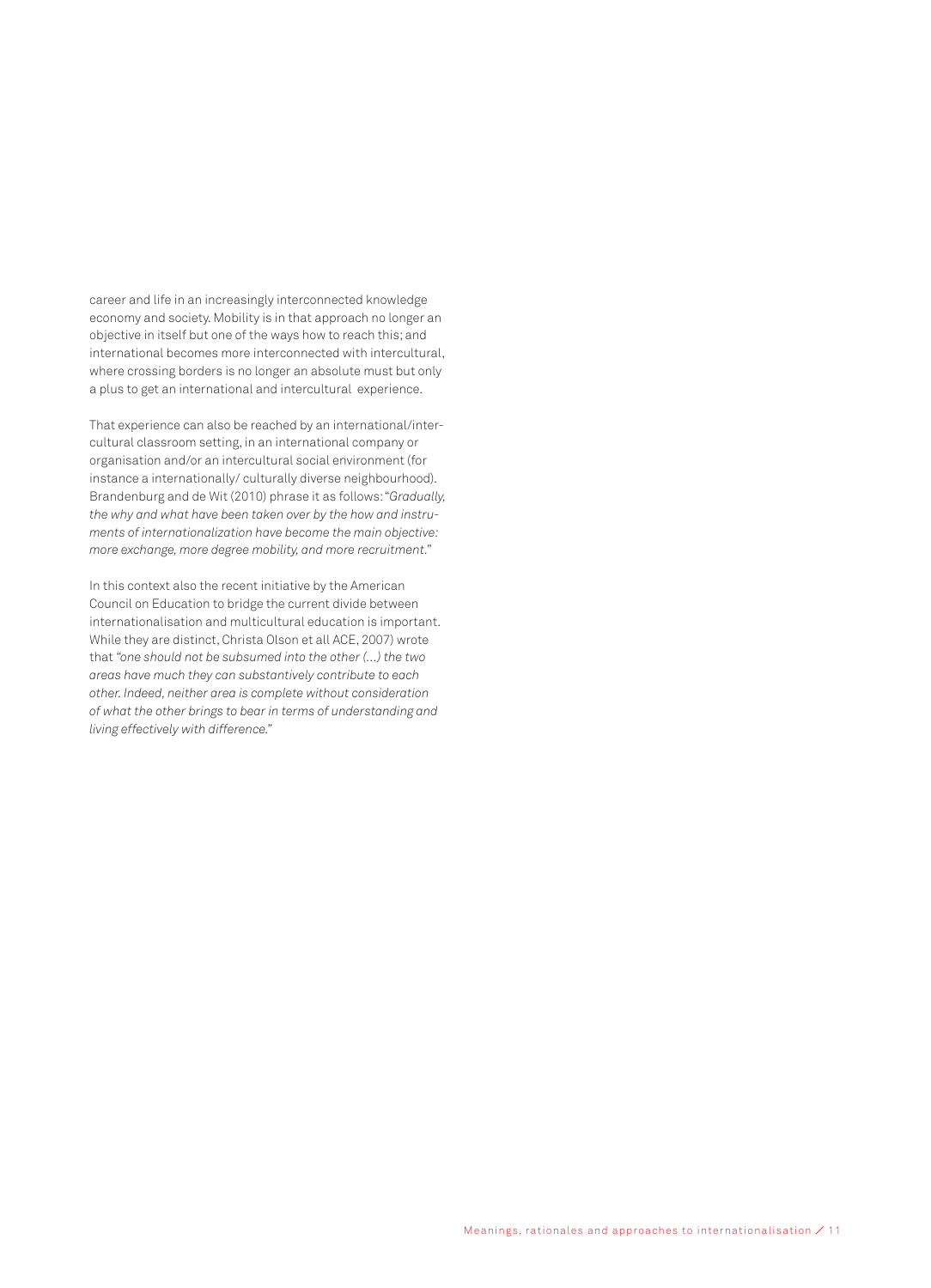career and life in an increasingly interconnected knowledge economy and society. Mobility is in that approach no longer an objective in itself but one of the ways how to reach this; and international becomes more interconnected with intercultural, where crossing borders is no longer an absolute must but only a plus to get an international and intercultural experience.

That experience can also be reached by an international/intercultural classroom setting, in an international company or organisation and/or an intercultural social environment (for instance a internationally/ culturally diverse neighbourhood). Brandenburg and de Wit (2010) phrase it as follows: "*Gradually, the why and what have been taken over by the how and instruments of internationalization have become the main objective: more exchange, more degree mobility, and more recruitment."*

In this context also the recent initiative by the American Council on Education to bridge the current divide between internationalisation and multicultural education is important. While they are distinct, Christa Olson et all ACE, 2007) wrote that *"one should not be subsumed into the other (…) the two areas have much they can substantively contribute to each other. Indeed, neither area is complete without consideration of what the other brings to bear in terms of understanding and living effectively with difference."*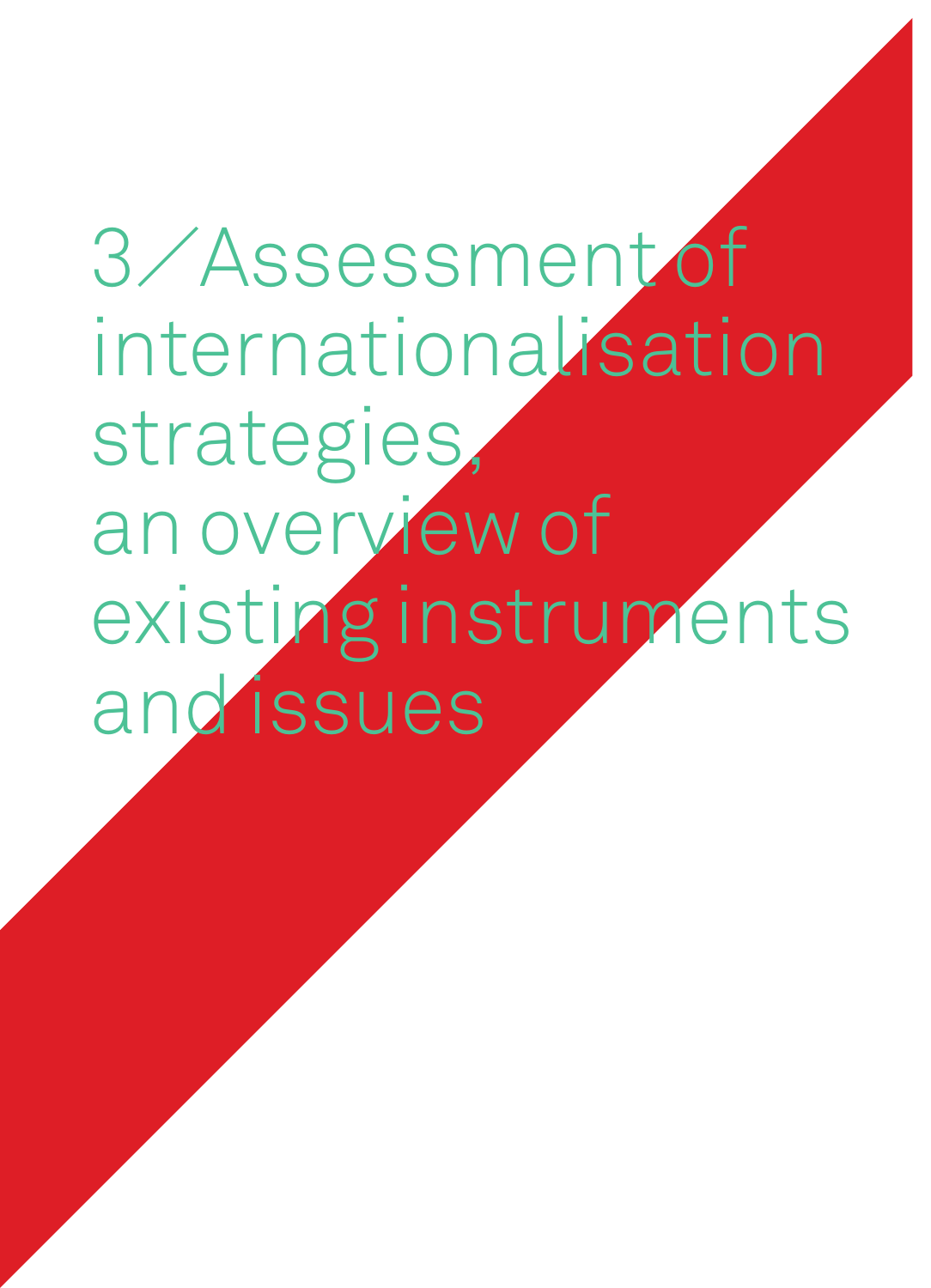3⁄ Assessment of internationalisation strategies, an overview of existing instruments and issues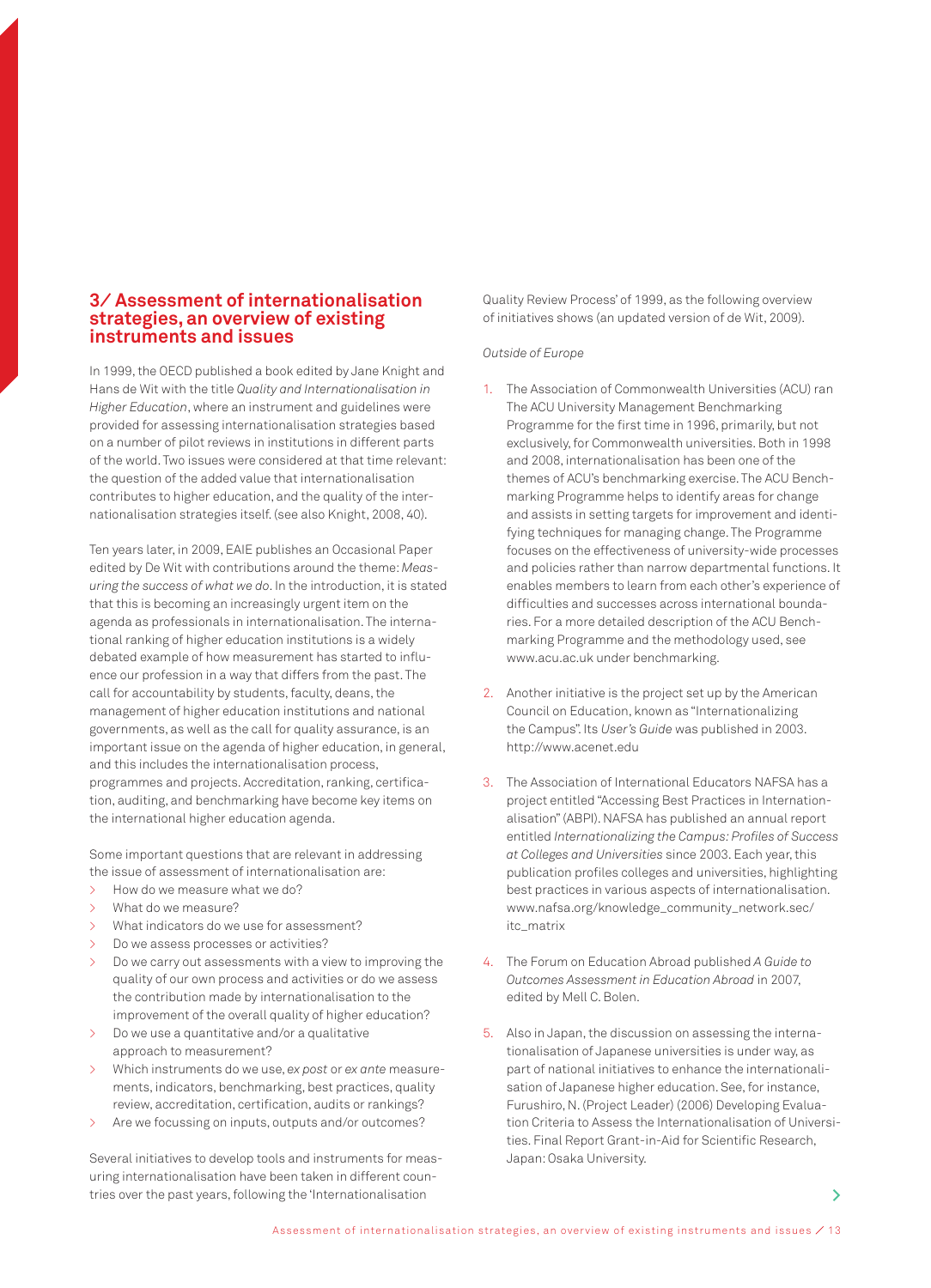### **3⁄ Assessment of internationalisation strategies, an overview of existing instruments and issues**

In 1999, the OECD published a book edited by Jane Knight and Hans de Wit with the title *Quality and Internationalisation in Higher Education*, where an instrument and guidelines were provided for assessing internationalisation strategies based on a number of pilot reviews in institutions in different parts of the world. Two issues were considered at that time relevant: the question of the added value that internationalisation contributes to higher education, and the quality of the internationalisation strategies itself. (see also Knight, 2008, 40).

Ten years later, in 2009, EAIE publishes an Occasional Paper edited by De Wit with contributions around the theme: *Measuring the success of what we do*. In the introduction, it is stated that this is becoming an increasingly urgent item on the agenda as professionals in internationalisation. The international ranking of higher education institutions is a widely debated example of how measurement has started to influence our profession in a way that differs from the past. The call for accountability by students, faculty, deans, the management of higher education institutions and national governments, as well as the call for quality assurance, is an important issue on the agenda of higher education, in general, and this includes the internationalisation process, programmes and projects. Accreditation, ranking, certification, auditing, and benchmarking have become key items on the international higher education agenda.

Some important questions that are relevant in addressing the issue of assessment of internationalisation are:

- > How do we measure what we do?
- > What do we measure?
- What indicators do we use for assessment?
- > Do we assess processes or activities?
- Do we carry out assessments with a view to improving the quality of our own process and activities or do we assess the contribution made by internationalisation to the improvement of the overall quality of higher education?
- > Do we use a quantitative and/or a qualitative approach to measurement?
- > Which instruments do we use, *ex post* or *ex ante* measurements, indicators, benchmarking, best practices, quality review, accreditation, certification, audits or rankings?
- > Are we focussing on inputs, outputs and/or outcomes?

Several initiatives to develop tools and instruments for measuring internationalisation have been taken in different countries over the past years, following the 'Internationalisation

Quality Review Process' of 1999, as the following overview of initiatives shows (an updated version of de Wit, 2009).

#### *Outside of Europe*

- 1. The Association of Commonwealth Universities (ACU) ran The ACU University Management Benchmarking Programme for the first time in 1996, primarily, but not exclusively, for Commonwealth universities. Both in 1998 and 2008, internationalisation has been one of the themes of ACU's benchmarking exercise. The ACU Benchmarking Programme helps to identify areas for change and assists in setting targets for improvement and identifying techniques for managing change. The Programme focuses on the effectiveness of university-wide processes and policies rather than narrow departmental functions. It enables members to learn from each other's experience of difficulties and successes across international boundaries. For a more detailed description of the ACU Benchmarking Programme and the methodology used, see www.acu.ac.uk under benchmarking.
- 2. Another initiative is the project set up by the American Council on Education, known as "Internationalizing the Campus". Its *User's Guide* was published in 2003. http://www.acenet.edu
- 3. The Association of International Educators NAFSA has a project entitled "Accessing Best Practices in Internationalisation" (ABPI). NAFSA has published an annual report entitled *Internationalizing the Campus: Profiles of Success at Colleges and Universities* since 2003. Each year, this publication profiles colleges and universities, highlighting best practices in various aspects of internationalisation. www.nafsa.org/knowledge\_community\_network.sec/ itc\_matrix
- 4. The Forum on Education Abroad published *A Guide to Outcomes Assessment in Education Abroad* in 2007, edited by Mell C. Bolen.
- 5. Also in Japan, the discussion on assessing the internationalisation of Japanese universities is under way, as part of national initiatives to enhance the internationalisation of Japanese higher education. See, for instance, Furushiro, N. (Project Leader) (2006) Developing Evaluation Criteria to Assess the Internationalisation of Universities. Final Report Grant-in-Aid for Scientific Research, Japan: Osaka University.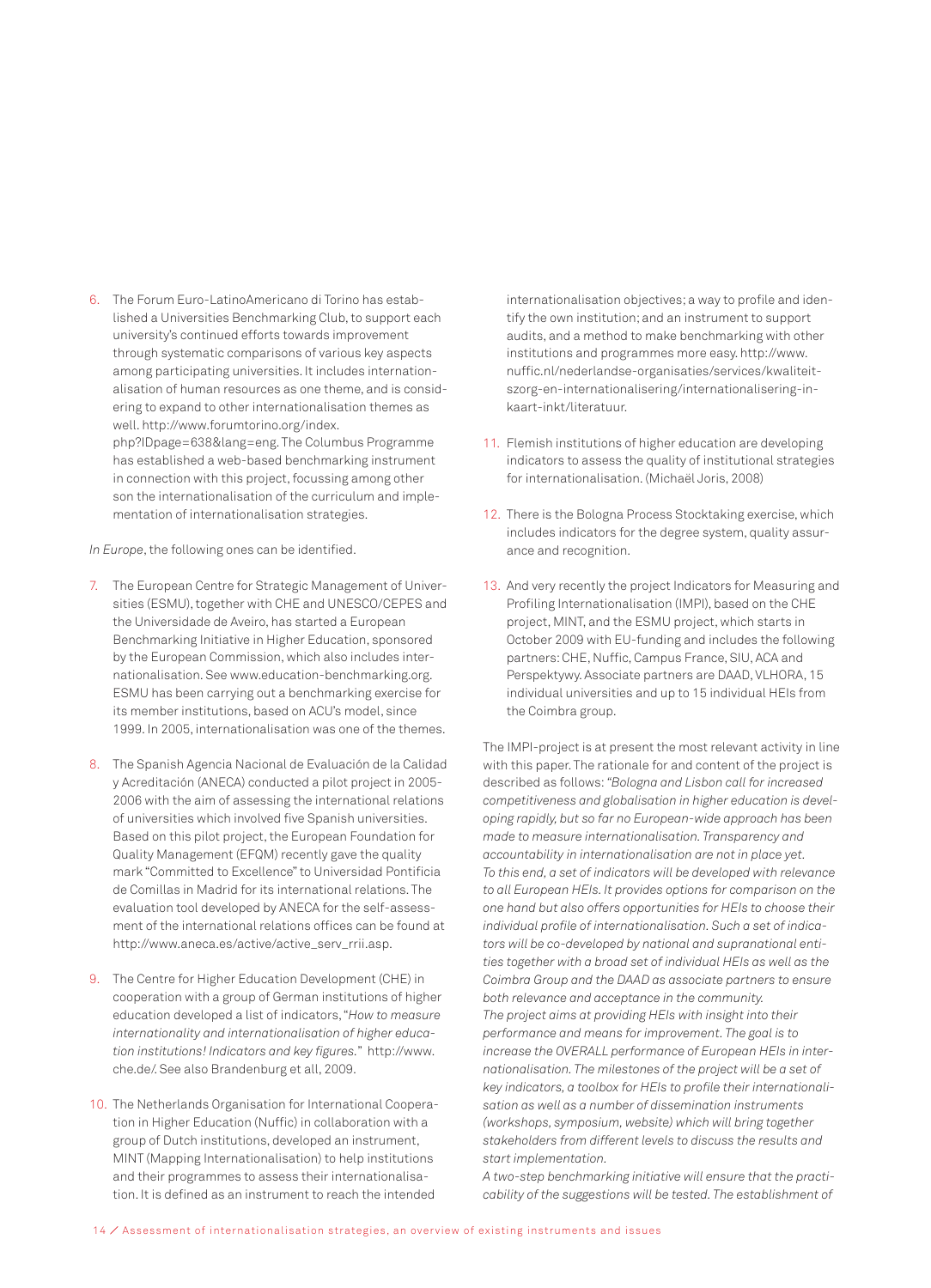6. The Forum Euro-LatinoAmericano di Torino has established a Universities Benchmarking Club, to support each university's continued efforts towards improvement through systematic comparisons of various key aspects among participating universities. It includes internationalisation of human resources as one theme, and is considering to expand to other internationalisation themes as well. http://www.forumtorino.org/index. php?IDpage=638&lang=eng. The Columbus Programme has established a web-based benchmarking instrument in connection with this project, focussing among other son the internationalisation of the curriculum and implementation of internationalisation strategies.

*In Europe*, the following ones can be identified.

- 7. The European Centre for Strategic Management of Universities (ESMU), together with CHE and UNESCO/CEPES and the Universidade de Aveiro, has started a European Benchmarking Initiative in Higher Education, sponsored by the European Commission, which also includes internationalisation. See www.education-benchmarking.org. ESMU has been carrying out a benchmarking exercise for its member institutions, based on ACU's model, since 1999. In 2005, internationalisation was one of the themes.
- 8. The Spanish Agencia Nacional de Evaluación de la Calidad y Acreditación (ANECA) conducted a pilot project in 2005- 2006 with the aim of assessing the international relations of universities which involved five Spanish universities. Based on this pilot project, the European Foundation for Quality Management (EFQM) recently gave the quality mark "Committed to Excellence" to Universidad Pontificia de Comillas in Madrid for its international relations. The evaluation tool developed by ANECA for the self-assessment of the international relations offices can be found at http://www.aneca.es/active/active\_serv\_rrii.asp.
- 9. The Centre for Higher Education Development (CHE) in cooperation with a group of German institutions of higher education developed a list of indicators, "*How to measure internationality and internationalisation of higher education institutions! Indicators and key figures.*" http://www. che.de/. See also Brandenburg et all, 2009.
- 10. The Netherlands Organisation for International Cooperation in Higher Education (Nuffic) in collaboration with a group of Dutch institutions, developed an instrument, MINT (Mapping Internationalisation) to help institutions and their programmes to assess their internationalisation. It is defined as an instrument to reach the intended

internationalisation objectives; a way to profile and identify the own institution; and an instrument to support audits, and a method to make benchmarking with other institutions and programmes more easy. http://www. nuffic.nl/nederlandse-organisaties/services/kwaliteitszorg-en-internationalisering/internationalisering-inkaart-inkt/literatuur.

- 11. Flemish institutions of higher education are developing indicators to assess the quality of institutional strategies for internationalisation. (Michaël Joris, 2008)
- 12. There is the Bologna Process Stocktaking exercise, which includes indicators for the degree system, quality assurance and recognition.
- 13. And very recently the project Indicators for Measuring and Profiling Internationalisation (IMPI), based on the CHE project, MINT, and the ESMU project, which starts in October 2009 with EU-funding and includes the following partners: CHE, Nuffic, Campus France, SIU, ACA and Perspektywy. Associate partners are DAAD, VLHORA, 15 individual universities and up to 15 individual HEIs from the Coimbra group.

The IMPI-project is at present the most relevant activity in line with this paper. The rationale for and content of the project is described as follows: *"Bologna and Lisbon call for increased competitiveness and globalisation in higher education is developing rapidly, but so far no European-wide approach has been made to measure internationalisation. Transparency and accountability in internationalisation are not in place yet. To this end, a set of indicators will be developed with relevance to all European HEIs. It provides options for comparison on the one hand but also offers opportunities for HEIs to choose their individual profile of internationalisation. Such a set of indicators will be co-developed by national and supranational entities together with a broad set of individual HEIs as well as the Coimbra Group and the DAAD as associate partners to ensure both relevance and acceptance in the community. The project aims at providing HEIs with insight into their performance and means for improvement. The goal is to increase the OVERALL performance of European HEIs in internationalisation. The milestones of the project will be a set of key indicators, a toolbox for HEIs to profile their internationalisation as well as a number of dissemination instruments (workshops, symposium, website) which will bring together stakeholders from different levels to discuss the results and start implementation.* 

*A two-step benchmarking initiative will ensure that the practicability of the suggestions will be tested. The establishment of*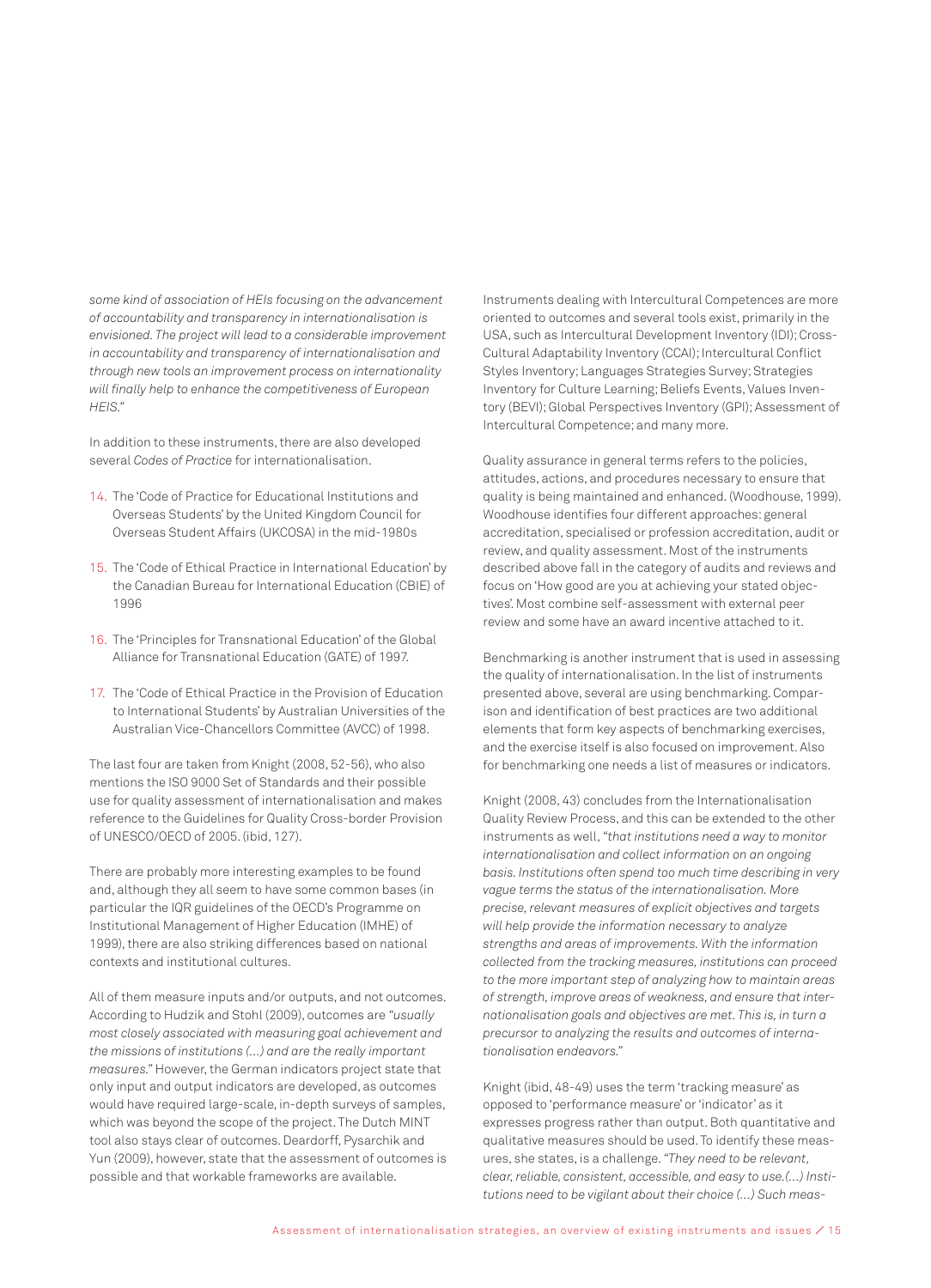*some kind of association of HEIs focusing on the advancement of accountability and transparency in internationalisation is envisioned. The project will lead to a considerable improvement in accountability and transparency of internationalisation and through new tools an improvement process on internationality will finally help to enhance the competitiveness of European HEIS."*

In addition to these instruments, there are also developed several *Codes of Practice* for internationalisation.

- 14. The 'Code of Practice for Educational Institutions and Overseas Students' by the United Kingdom Council for Overseas Student Affairs (UKCOSA) in the mid-1980s
- 15. The 'Code of Ethical Practice in International Education' by the Canadian Bureau for International Education (CBIE) of 1996
- 16. The 'Principles for Transnational Education' of the Global Alliance for Transnational Education (GATE) of 1997.
- 17. The 'Code of Ethical Practice in the Provision of Education to International Students' by Australian Universities of the Australian Vice-Chancellors Committee (AVCC) of 1998.

The last four are taken from Knight (2008, 52-56), who also mentions the ISO 9000 Set of Standards and their possible use for quality assessment of internationalisation and makes reference to the Guidelines for Quality Cross-border Provision of UNESCO/OECD of 2005. (ibid, 127).

There are probably more interesting examples to be found and, although they all seem to have some common bases (in particular the IQR guidelines of the OECD's Programme on Institutional Management of Higher Education (IMHE) of 1999), there are also striking differences based on national contexts and institutional cultures.

All of them measure inputs and/or outputs, and not outcomes. According to Hudzik and Stohl (2009), outcomes are *"usually most closely associated with measuring goal achievement and the missions of institutions (…) and are the really important measures."* However, the German indicators project state that only input and output indicators are developed, as outcomes would have required large-scale, in-depth surveys of samples, which was beyond the scope of the project. The Dutch MINT tool also stays clear of outcomes. Deardorff, Pysarchik and Yun (2009), however, state that the assessment of outcomes is possible and that workable frameworks are available.

Instruments dealing with Intercultural Competences are more oriented to outcomes and several tools exist, primarily in the USA, such as Intercultural Development Inventory (IDI); Cross-Cultural Adaptability Inventory (CCAI); Intercultural Conflict Styles Inventory; Languages Strategies Survey; Strategies Inventory for Culture Learning; Beliefs Events, Values Inventory (BEVI); Global Perspectives Inventory (GPI); Assessment of Intercultural Competence; and many more.

Quality assurance in general terms refers to the policies, attitudes, actions, and procedures necessary to ensure that quality is being maintained and enhanced. (Woodhouse, 1999). Woodhouse identifies four different approaches: general accreditation, specialised or profession accreditation, audit or review, and quality assessment. Most of the instruments described above fall in the category of audits and reviews and focus on 'How good are you at achieving your stated objectives'. Most combine self-assessment with external peer review and some have an award incentive attached to it.

Benchmarking is another instrument that is used in assessing the quality of internationalisation. In the list of instruments presented above, several are using benchmarking. Comparison and identification of best practices are two additional elements that form key aspects of benchmarking exercises, and the exercise itself is also focused on improvement. Also for benchmarking one needs a list of measures or indicators.

Knight (2008, 43) concludes from the Internationalisation Quality Review Process, and this can be extended to the other instruments as well, *"that institutions need a way to monitor internationalisation and collect information on an ongoing basis. Institutions often spend too much time describing in very vague terms the status of the internationalisation. More precise, relevant measures of explicit objectives and targets will help provide the information necessary to analyze strengths and areas of improvements. With the information collected from the tracking measures, institutions can proceed to the more important step of analyzing how to maintain areas of strength, improve areas of weakness, and ensure that internationalisation goals and objectives are met. This is, in turn a precursor to analyzing the results and outcomes of internationalisation endeavors."* 

Knight (ibid, 48-49) uses the term 'tracking measure' as opposed to 'performance measure' or 'indicator' as it expresses progress rather than output. Both quantitative and qualitative measures should be used. To identify these measures, she states, is a challenge. *"They need to be relevant, clear, reliable, consistent, accessible, and easy to use.(…) Institutions need to be vigilant about their choice (…) Such meas-*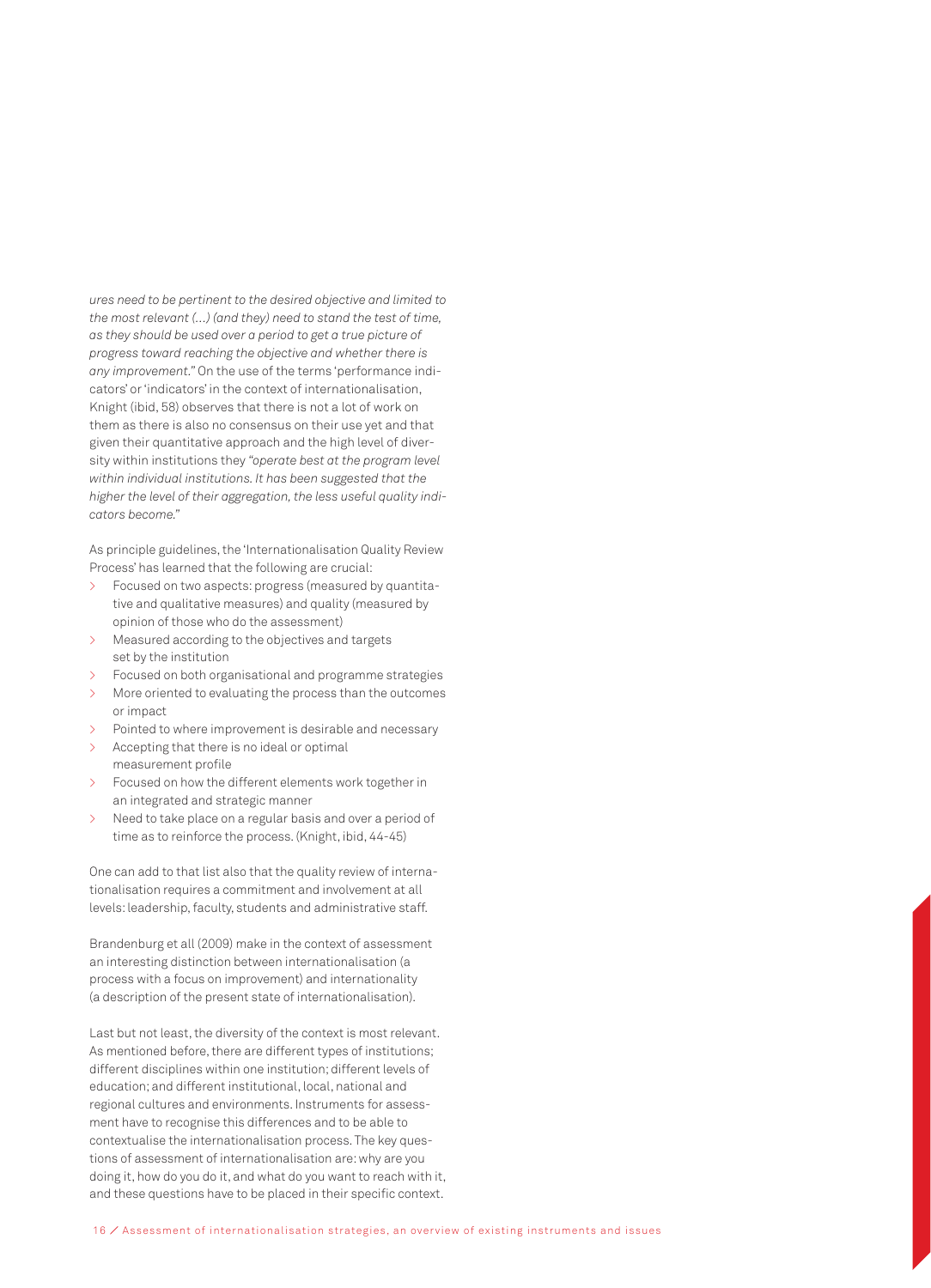*ures need to be pertinent to the desired objective and limited to the most relevant (…) (and they) need to stand the test of time, as they should be used over a period to get a true picture of progress toward reaching the objective and whether there is any improvement."* On the use of the terms 'performance indicators' or 'indicators' in the context of internationalisation, Knight (ibid, 58) observes that there is not a lot of work on them as there is also no consensus on their use yet and that given their quantitative approach and the high level of diversity within institutions they *"operate best at the program level within individual institutions. It has been suggested that the higher the level of their aggregation, the less useful quality indicators become."* 

As principle guidelines, the 'Internationalisation Quality Review Process' has learned that the following are crucial:

- > Focused on two aspects: progress (measured by quantitative and qualitative measures) and quality (measured by opinion of those who do the assessment)
- Measured according to the objectives and targets set by the institution
- > Focused on both organisational and programme strategies
- > More oriented to evaluating the process than the outcomes or impact
- > Pointed to where improvement is desirable and necessary
- Accepting that there is no ideal or optimal measurement profile
- Focused on how the different elements work together in an integrated and strategic manner
- Need to take place on a regular basis and over a period of time as to reinforce the process. (Knight, ibid, 44-45)

One can add to that list also that the quality review of internationalisation requires a commitment and involvement at all levels: leadership, faculty, students and administrative staff.

Brandenburg et all (2009) make in the context of assessment an interesting distinction between internationalisation (a process with a focus on improvement) and internationality (a description of the present state of internationalisation).

Last but not least, the diversity of the context is most relevant. As mentioned before, there are different types of institutions; different disciplines within one institution; different levels of education; and different institutional, local, national and regional cultures and environments. Instruments for assessment have to recognise this differences and to be able to contextualise the internationalisation process. The key questions of assessment of internationalisation are: why are you doing it, how do you do it, and what do you want to reach with it, and these questions have to be placed in their specific context.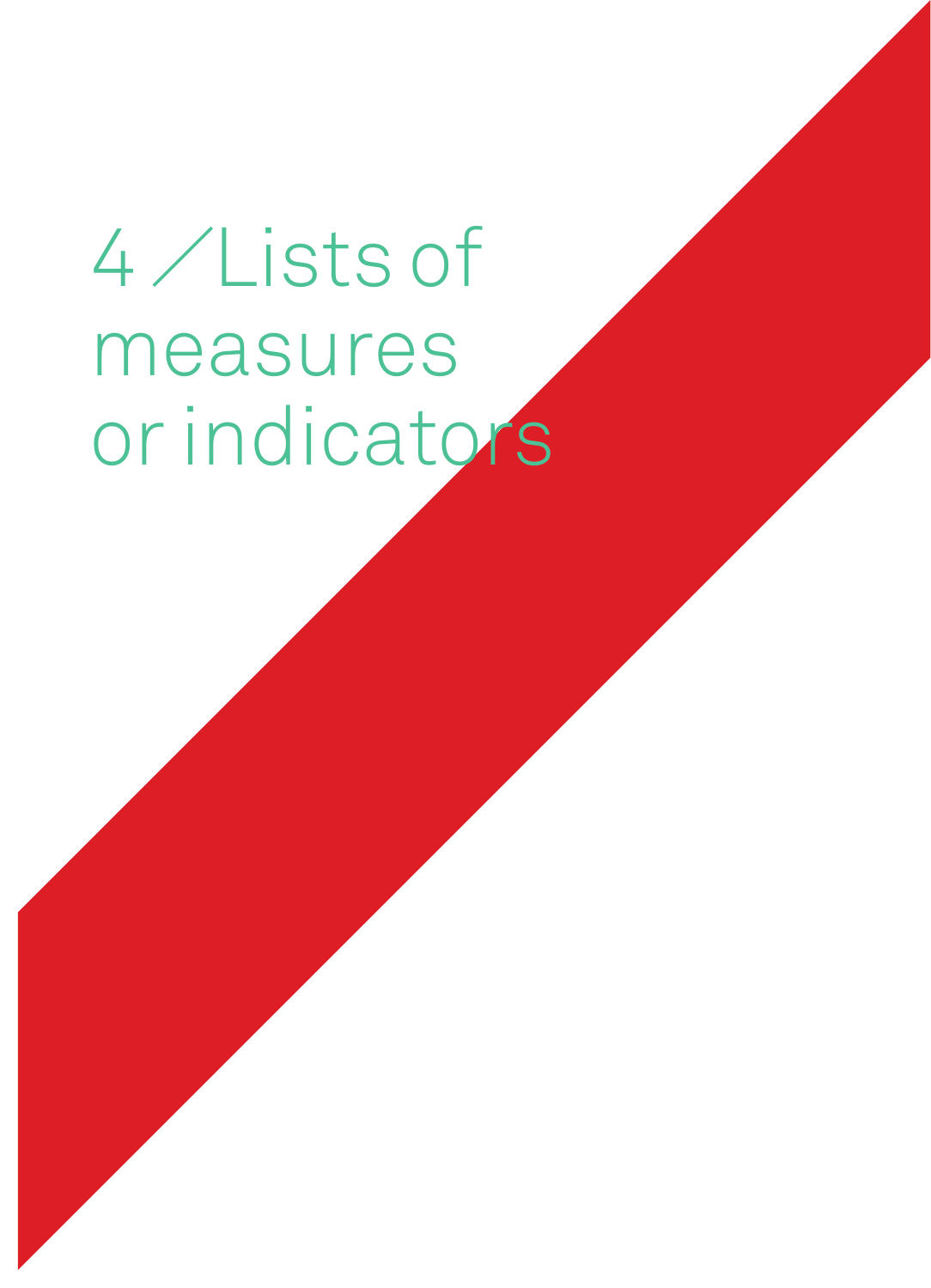# 4 ⁄ Lists of measures or indicators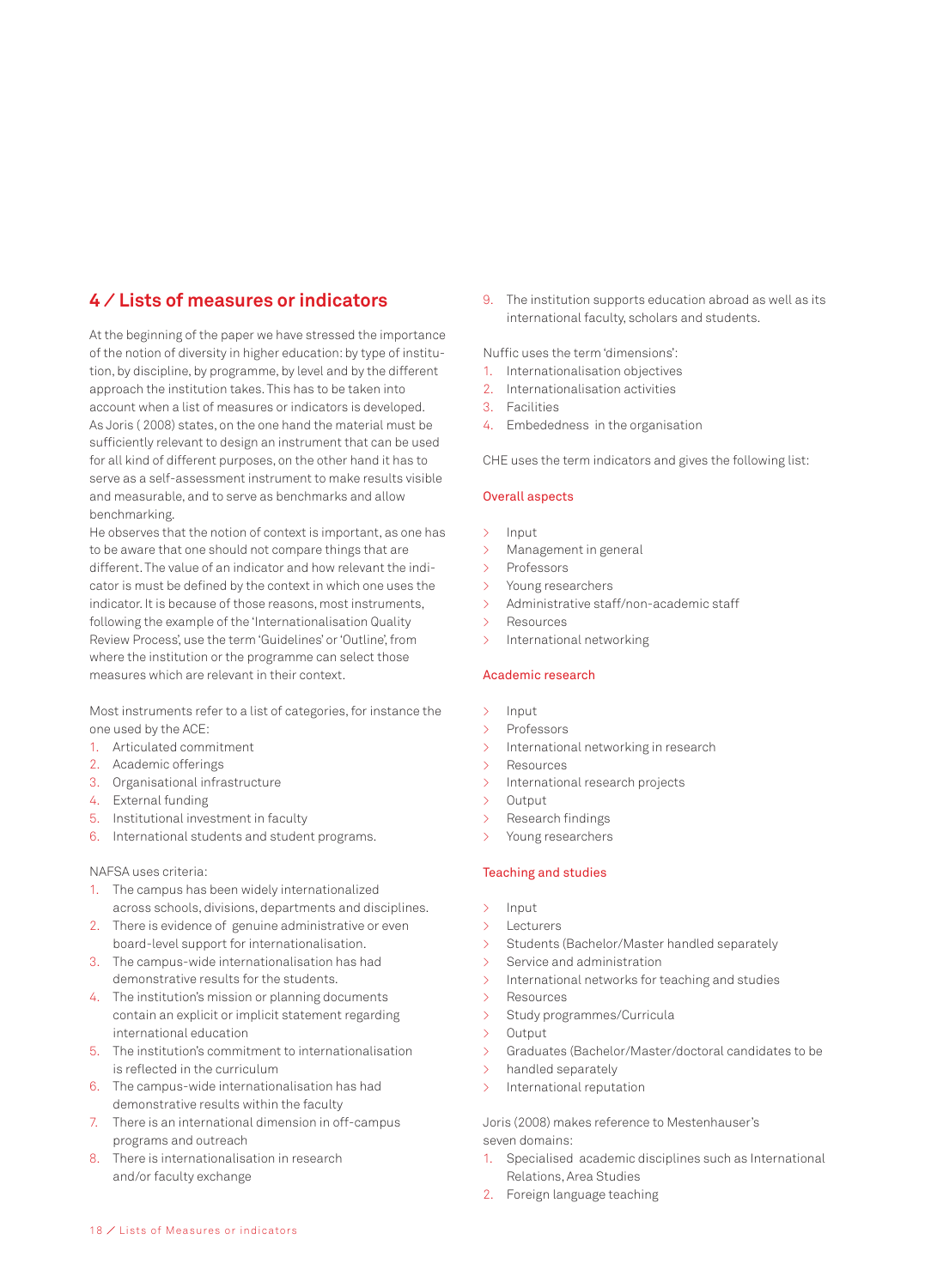## **4 ⁄ Lists of measures or indicators**

At the beginning of the paper we have stressed the importance of the notion of diversity in higher education: by type of institution, by discipline, by programme, by level and by the different approach the institution takes. This has to be taken into account when a list of measures or indicators is developed. As Joris ( 2008) states, on the one hand the material must be sufficiently relevant to design an instrument that can be used for all kind of different purposes, on the other hand it has to serve as a self-assessment instrument to make results visible and measurable, and to serve as benchmarks and allow benchmarking.

He observes that the notion of context is important, as one has to be aware that one should not compare things that are different. The value of an indicator and how relevant the indicator is must be defined by the context in which one uses the indicator. It is because of those reasons, most instruments, following the example of the 'Internationalisation Quality Review Process', use the term 'Guidelines' or 'Outline', from where the institution or the programme can select those measures which are relevant in their context.

Most instruments refer to a list of categories, for instance the one used by the ACE:

- 1. Articulated commitment
- 2. Academic offerings
- 3. Organisational infrastructure
- 4. External funding
- 5. Institutional investment in faculty
- 6. International students and student programs.

#### NAFSA uses criteria:

- 1. The campus has been widely internationalized across schools, divisions, departments and disciplines.
- 2. There is evidence of genuine administrative or even board-level support for internationalisation.
- 3. The campus-wide internationalisation has had demonstrative results for the students.
- 4. The institution's mission or planning documents contain an explicit or implicit statement regarding international education
- 5. The institution's commitment to internationalisation is reflected in the curriculum
- 6. The campus-wide internationalisation has had demonstrative results within the faculty
- 7. There is an international dimension in off-campus programs and outreach
- 8. There is internationalisation in research and/or faculty exchange

9. The institution supports education abroad as well as its international faculty, scholars and students.

Nuffic uses the term 'dimensions':

- 1. Internationalisation objectives
- 2. Internationalisation activities
- 3. Facilities
- 4. Embededness in the organisation

CHE uses the term indicators and gives the following list:

#### Overall aspects

- > Input
- > Management in general
- > Professors
- > Young researchers
- > Administrative staff/non-academic staff
- > Resources
- > International networking

#### Academic research

- > Input
- > Professors
- > International networking in research
- > Resources
- > International research projects
- > Output
- > Research findings
- > Young researchers

#### Teaching and studies

- > Input
- > Lecturers
- Students (Bachelor/Master handled separately
- > Service and administration
- > International networks for teaching and studies
- > Resources
- > Study programmes/Curricula
- > Output
- > Graduates (Bachelor/Master/doctoral candidates to be
- > handled separately
- > International reputation

Joris (2008) makes reference to Mestenhauser's seven domains:

- 1. Specialised academic disciplines such as International Relations, Area Studies
- 2. Foreign language teaching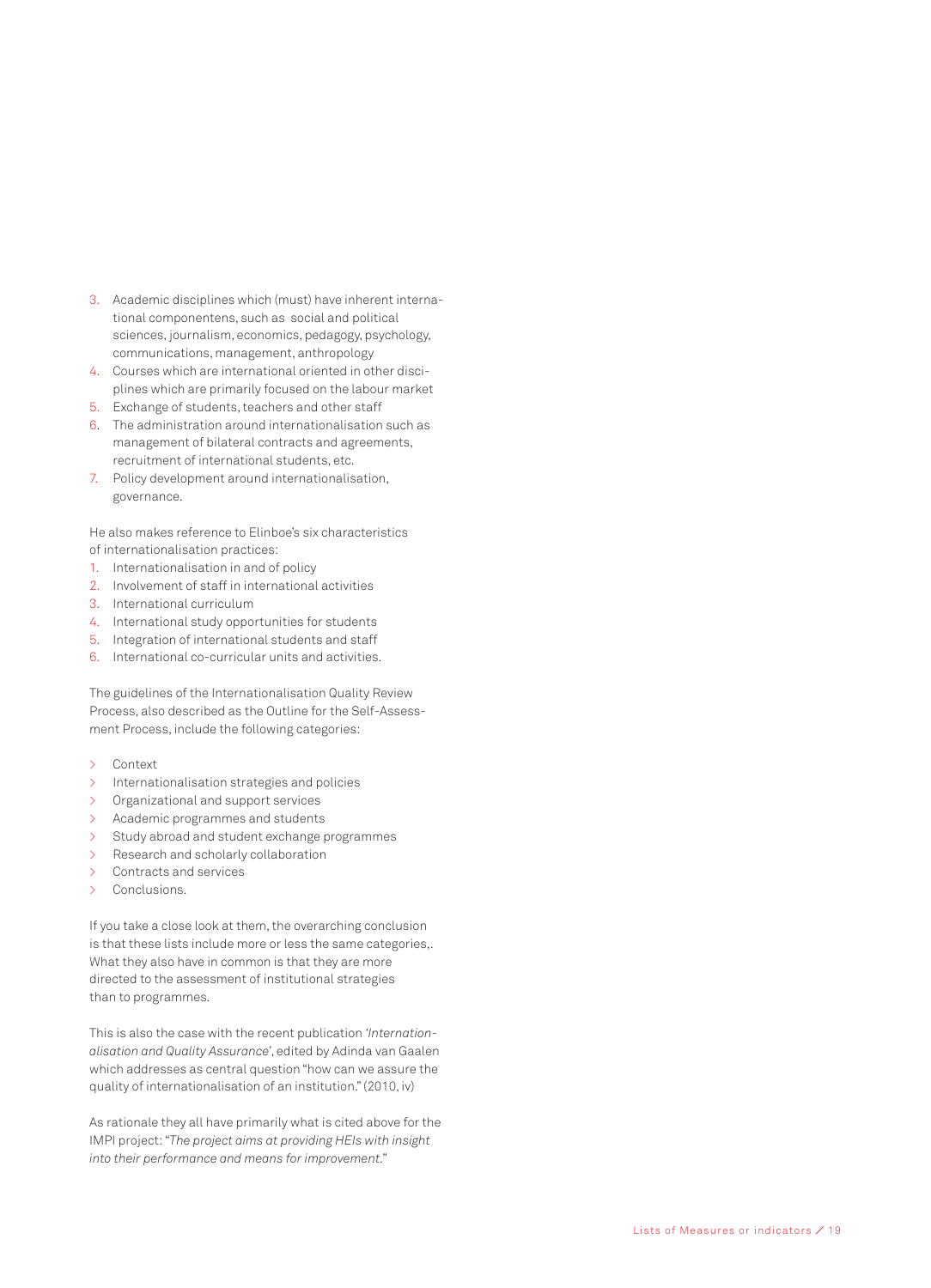- 3. Academic disciplines which (must) have inherent international componentens, such as social and political sciences, journalism, economics, pedagogy, psychology, communications, management, anthropology
- 4. Courses which are international oriented in other disciplines which are primarily focused on the labour market
- 5. Exchange of students, teachers and other staff
- 6. The administration around internationalisation such as management of bilateral contracts and agreements, recruitment of international students, etc.
- 7. Policy development around internationalisation, governance.

He also makes reference to Elinboe's six characteristics of internationalisation practices:

- 1. Internationalisation in and of policy
- 2. Involvement of staff in international activities
- 3. International curriculum
- 4. International study opportunities for students
- 5. Integration of international students and staff
- 6. International co-curricular units and activities.

The guidelines of the Internationalisation Quality Review Process, also described as the Outline for the Self-Assessment Process, include the following categories:

- > Context
- > Internationalisation strategies and policies
- > Organizational and support services
- > Academic programmes and students
- > Study abroad and student exchange programmes
- > Research and scholarly collaboration
- > Contracts and services
- Conclusions.

If you take a close look at them, the overarching conclusion is that these lists include more or less the same categories,. What they also have in common is that they are more directed to the assessment of institutional strategies than to programmes.

This is also the case with the recent publication *'Internationalisation and Quality Assurance'*, edited by Adinda van Gaalen which addresses as central question "how can we assure the quality of internationalisation of an institution." (2010, iv)

As rationale they all have primarily what is cited above for the IMPI project: *"The project aims at providing HEIs with insight into their performance and means for improvement."*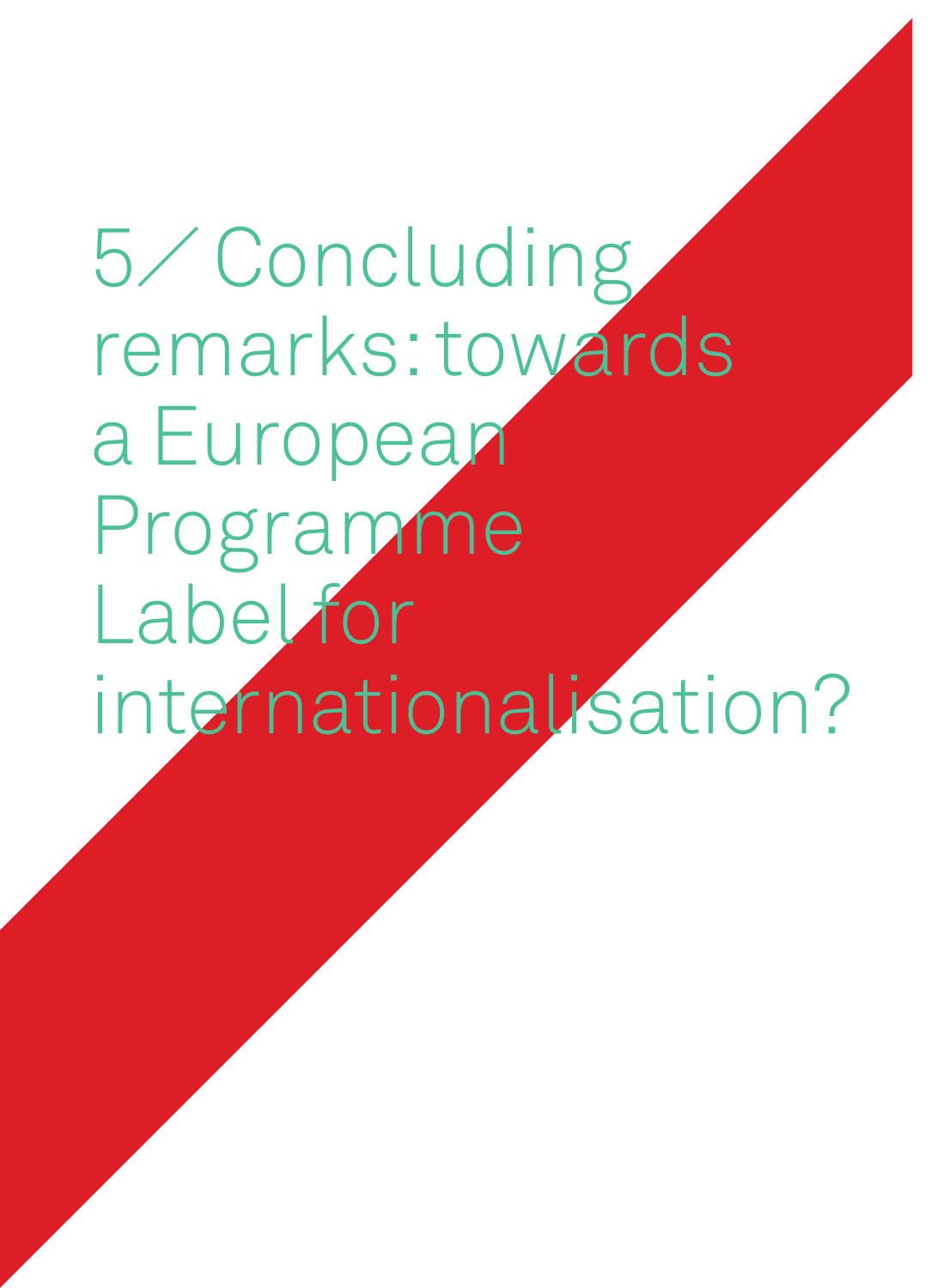## 5⁄ Concluding remarks: towards a European Programme **Label for** internationalisation?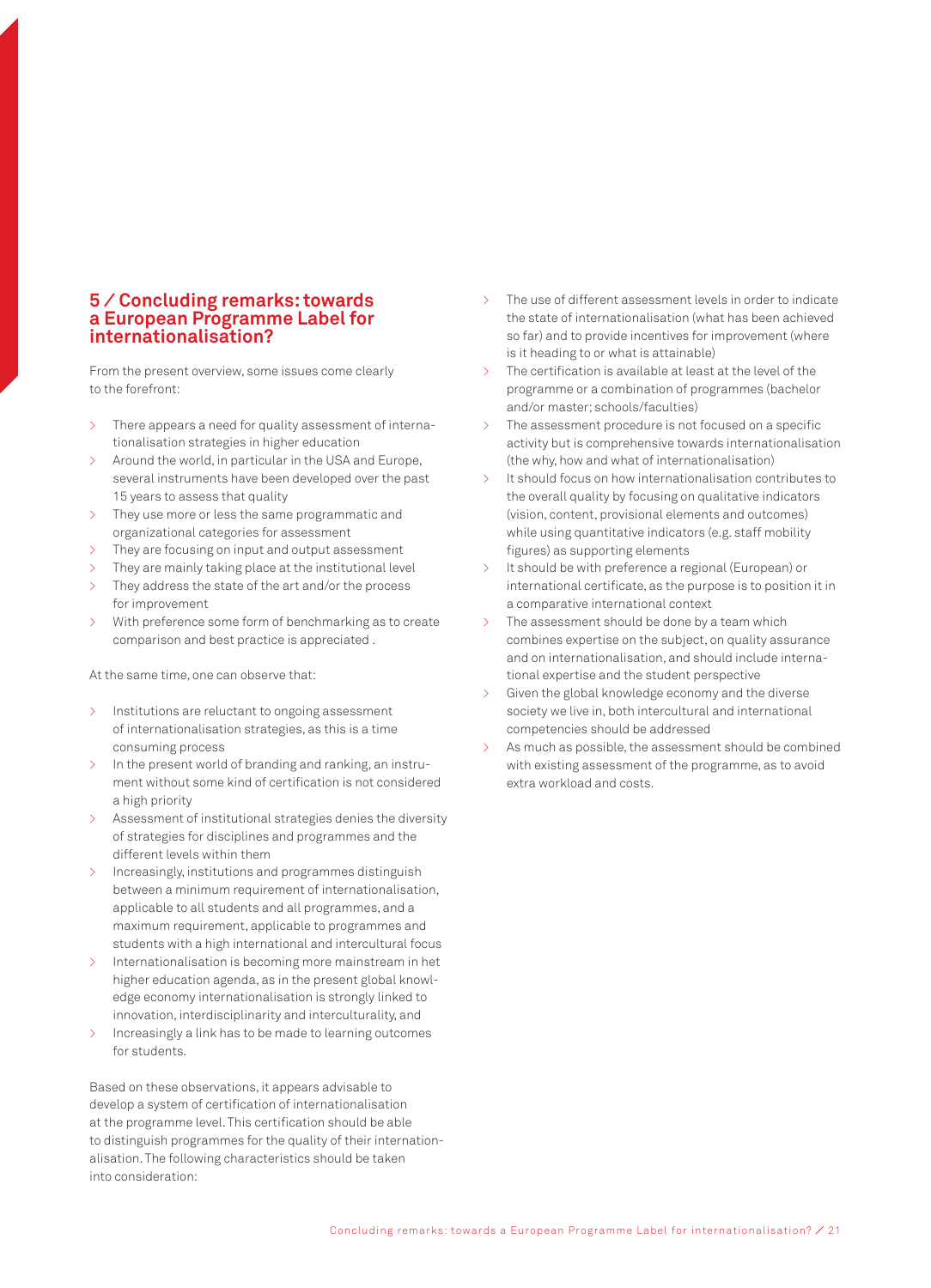## **5 ⁄ Concluding remarks: towards a European Programme Label for internationalisation?**

From the present overview, some issues come clearly to the forefront:

- > There appears a need for quality assessment of internationalisation strategies in higher education
- > Around the world, in particular in the USA and Europe, several instruments have been developed over the past 15 years to assess that quality
- > They use more or less the same programmatic and organizational categories for assessment
- > They are focusing on input and output assessment
- $\geq$  They are mainly taking place at the institutional level
- > They address the state of the art and/or the process for improvement
- > With preference some form of benchmarking as to create comparison and best practice is appreciated .

At the same time, one can observe that:

- > Institutions are reluctant to ongoing assessment of internationalisation strategies, as this is a time consuming process
- In the present world of branding and ranking, an instrument without some kind of certification is not considered a high priority
- Assessment of institutional strategies denies the diversity of strategies for disciplines and programmes and the different levels within them
- > Increasingly, institutions and programmes distinguish between a minimum requirement of internationalisation, applicable to all students and all programmes, and a maximum requirement, applicable to programmes and students with a high international and intercultural focus
- Internationalisation is becoming more mainstream in het higher education agenda, as in the present global knowledge economy internationalisation is strongly linked to innovation, interdisciplinarity and interculturality, and
- > Increasingly a link has to be made to learning outcomes for students.

Based on these observations, it appears advisable to develop a system of certification of internationalisation at the programme level. This certification should be able to distinguish programmes for the quality of their internationalisation. The following characteristics should be taken into consideration:

- The use of different assessment levels in order to indicate the state of internationalisation (what has been achieved so far) and to provide incentives for improvement (where is it heading to or what is attainable)
- > The certification is available at least at the level of the programme or a combination of programmes (bachelor and/or master; schools/faculties)
- The assessment procedure is not focused on a specific activity but is comprehensive towards internationalisation (the why, how and what of internationalisation)
- It should focus on how internationalisation contributes to the overall quality by focusing on qualitative indicators (vision, content, provisional elements and outcomes) while using quantitative indicators (e.g. staff mobility figures) as supporting elements
- It should be with preference a regional (European) or international certificate, as the purpose is to position it in a comparative international context
- The assessment should be done by a team which combines expertise on the subject, on quality assurance and on internationalisation, and should include international expertise and the student perspective
- Given the global knowledge economy and the diverse society we live in, both intercultural and international competencies should be addressed
- As much as possible, the assessment should be combined with existing assessment of the programme, as to avoid extra workload and costs.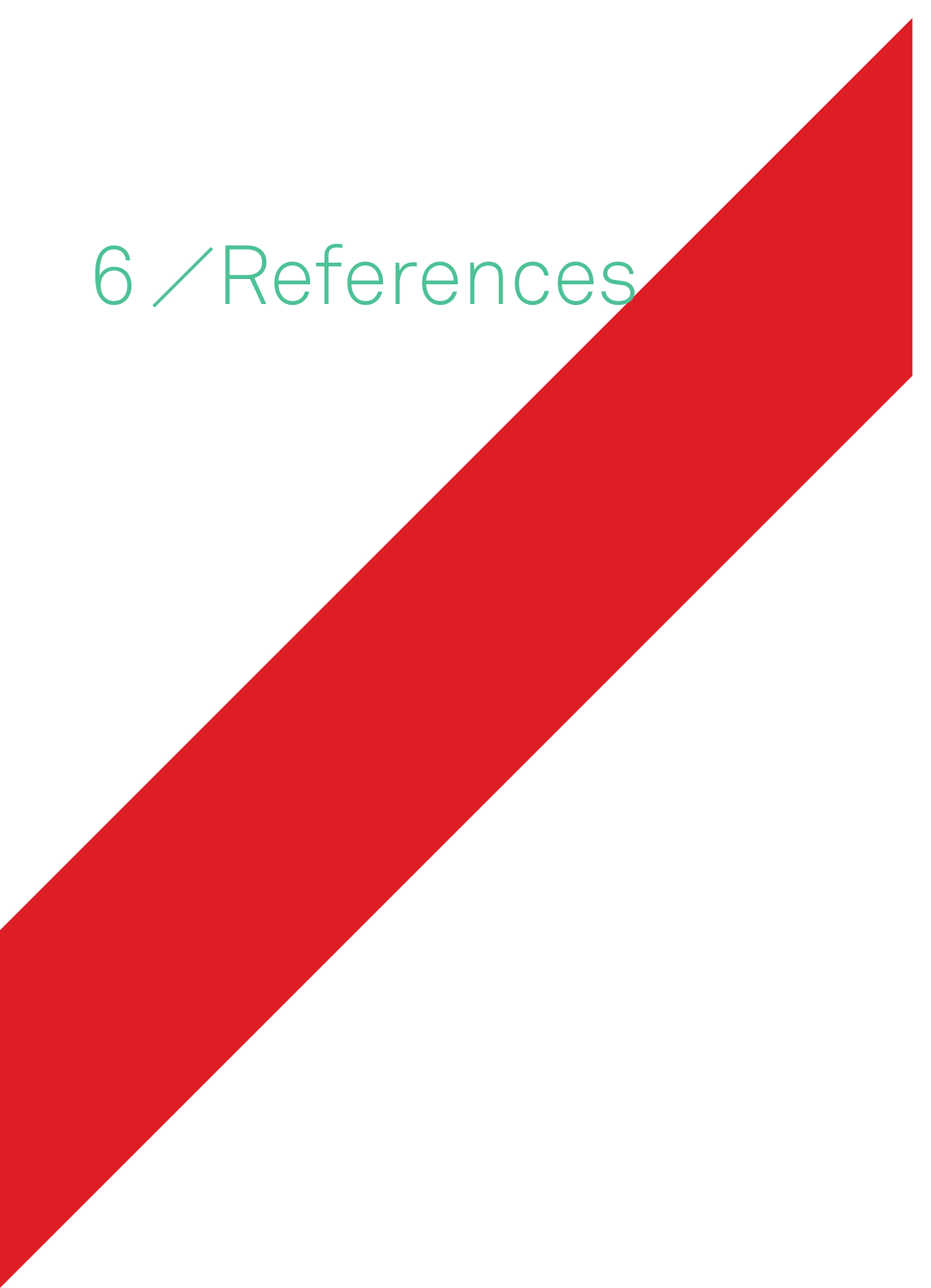# 6 / References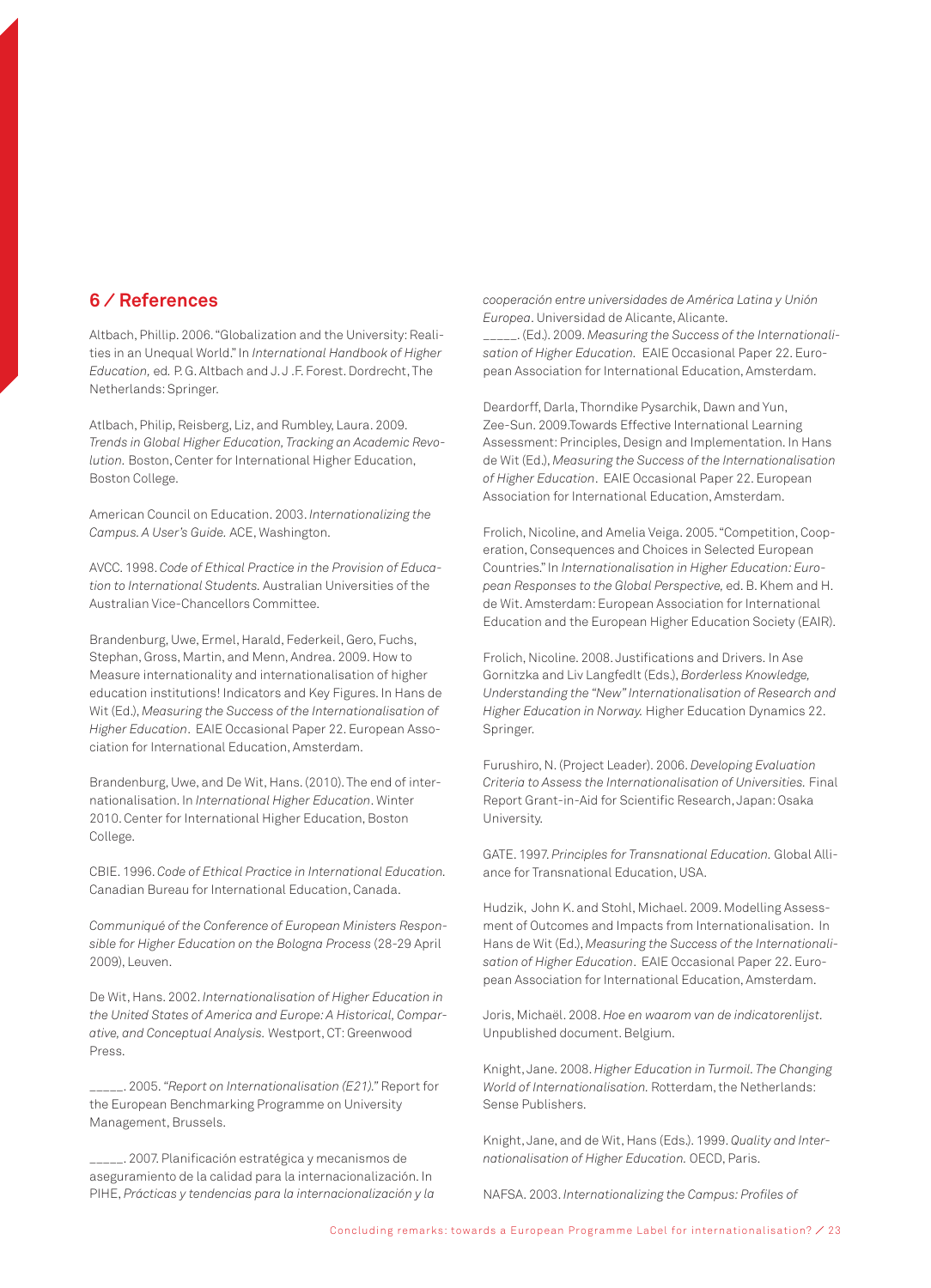## **6 ⁄ References**

Altbach, Phillip. 2006. "Globalization and the University: Realities in an Unequal World." In *International Handbook of Higher Education,* ed*.* P. G. Altbach and J. J .F. Forest. Dordrecht, The Netherlands: Springer.

Atlbach, Philip, Reisberg, Liz, and Rumbley, Laura. 2009. *Trends in Global Higher Education, Tracking an Academic Revolution.* Boston, Center for International Higher Education, Boston College.

American Council on Education. 2003. *Internationalizing the Campus. A User's Guide.* ACE, Washington.

AVCC. 1998. *Code of Ethical Practice in the Provision of Education to International Students.* Australian Universities of the Australian Vice-Chancellors Committee.

Brandenburg, Uwe, Ermel, Harald, Federkeil, Gero, Fuchs, Stephan, Gross, Martin, and Menn, Andrea. 2009. How to Measure internationality and internationalisation of higher education institutions! Indicators and Key Figures. In Hans de Wit (Ed.), *Measuring the Success of the Internationalisation of Higher Education*. EAIE Occasional Paper 22. European Association for International Education, Amsterdam.

Brandenburg, Uwe, and De Wit, Hans. (2010). The end of internationalisation. In *International Higher Education*. Winter 2010. Center for International Higher Education, Boston College.

CBIE. 1996. *Code of Ethical Practice in International Education.* Canadian Bureau for International Education, Canada.

*Communiqué of the Conference of European Ministers Responsible for Higher Education on the Bologna Process* (28-29 April 2009), Leuven.

De Wit, Hans. 2002. *Internationalisation of Higher Education in the United States of America and Europe: A Historical, Comparative, and Conceptual Analysis.* Westport, CT: Greenwood Press.

\_\_\_\_\_. 2005. *"Report on Internationalisation (E21)."* Report for the European Benchmarking Programme on University Management, Brussels.

\_\_\_\_\_. 2007. Planificación estratégica y mecanismos de aseguramiento de la calidad para la internacionalización. In PIHE, *Prácticas y tendencias para la internacionalización y la*  *cooperación entre universidades de América Latina y Unión Europea*. Universidad de Alicante, Alicante. \_\_\_\_\_. (Ed.). 2009. *Measuring the Success of the Internationalisation of Higher Education.* EAIE Occasional Paper 22. European Association for International Education, Amsterdam.

Deardorff, Darla, Thorndike Pysarchik, Dawn and Yun, Zee-Sun. 2009.Towards Effective International Learning Assessment: Principles, Design and Implementation. In Hans de Wit (Ed.), *Measuring the Success of the Internationalisation of Higher Education*. EAIE Occasional Paper 22. European Association for International Education, Amsterdam.

Frolich, Nicoline, and Amelia Veiga. 2005. "Competition, Cooperation, Consequences and Choices in Selected European Countries." In *Internationalisation in Higher Education: European Responses to the Global Perspective,* ed. B. Khem and H. de Wit. Amsterdam: European Association for International Education and the European Higher Education Society (EAIR).

Frolich, Nicoline. 2008. Justifications and Drivers. In Ase Gornitzka and Liv Langfedlt (Eds.), *Borderless Knowledge, Understanding the "New" Internationalisation of Research and Higher Education in Norway.* Higher Education Dynamics 22. Springer.

Furushiro, N. (Project Leader). 2006. *Developing Evaluation Criteria to Assess the Internationalisation of Universities.* Final Report Grant-in-Aid for Scientific Research, Japan: Osaka University.

GATE. 1997. *Principles for Transnational Education.* Global Alliance for Transnational Education, USA.

Hudzik, John K. and Stohl, Michael. 2009. Modelling Assessment of Outcomes and Impacts from Internationalisation. In Hans de Wit (Ed.), *Measuring the Success of the Internationalisation of Higher Education*. EAIE Occasional Paper 22. European Association for International Education, Amsterdam.

Joris, Michaël. 2008. *Hoe en waarom van de indicatorenlijst.* Unpublished document. Belgium.

Knight, Jane. 2008. *Higher Education in Turmoil. The Changing World of Internationalisation.* Rotterdam, the Netherlands: Sense Publishers.

Knight, Jane, and de Wit, Hans (Eds.). 1999. *Quality and Internationalisation of Higher Education.* OECD, Paris.

NAFSA. 2003. *Internationalizing the Campus: Profiles of*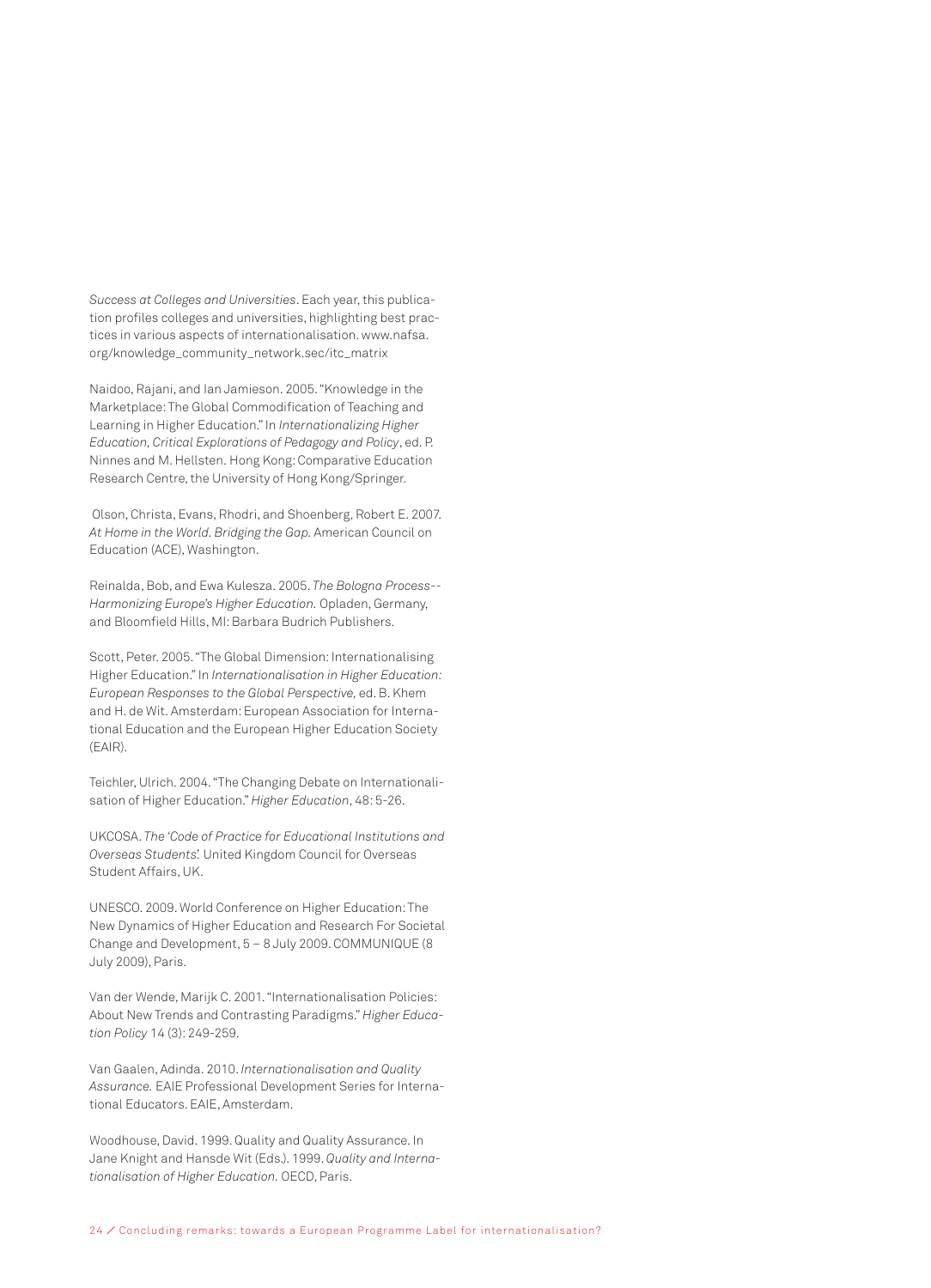*Success at Colleges and Universities*. Each year, this publication profiles colleges and universities, highlighting best practices in various aspects of internationalisation. www.nafsa. org/knowledge\_community\_network.sec/itc\_matrix

Naidoo, Rajani, and Ian Jamieson. 2005. "Knowledge in the Marketplace: The Global Commodification of Teaching and Learning in Higher Education." In *Internationalizing Higher Education, Critical Explorations of Pedagogy and Policy*, ed. P. Ninnes and M. Hellsten. Hong Kong: Comparative Education Research Centre, the University of Hong Kong/Springer.

Olson, Christa, Evans, Rhodri, and Shoenberg, Robert E. 2007. *At Home in the World. Bridging the Gap.* American Council on Education (ACE), Washington.

Reinalda, Bob, and Ewa Kulesza. 2005. *The Bologna Process-- Harmonizing Europe's Higher Education.* Opladen, Germany, and Bloomfield Hills, MI: Barbara Budrich Publishers.

Scott, Peter. 2005. "The Global Dimension: Internationalising Higher Education." In *Internationalisation in Higher Education: European Responses to the Global Perspective,* ed. B. Khem and H. de Wit. Amsterdam: European Association for International Education and the European Higher Education Society (EAIR).

Teichler, Ulrich. 2004. "The Changing Debate on Internationalisation of Higher Education." *Higher Education*, 48: 5-26.

UKCOSA. *The 'Code of Practice for Educational Institutions and Overseas Students'.* United Kingdom Council for Overseas Student Affairs, UK.

UNESCO. 2009. World Conference on Higher Education: The New Dynamics of Higher Education and Research For Societal Change and Development, 5 – 8 July 2009. COMMUNIQUE (8 July 2009), Paris.

Van der Wende, Marijk C. 2001. "Internationalisation Policies: About New Trends and Contrasting Paradigms." *Higher Education Policy* 14 (3): 249-259.

Van Gaalen, Adinda. 2010. *Internationalisation and Quality Assurance.* EAIE Professional Development Series for International Educators. EAIE, Amsterdam.

Woodhouse, David. 1999. Quality and Quality Assurance. In Jane Knight and Hansde Wit (Eds.). 1999. *Quality and Internationalisation of Higher Education.* OECD, Paris.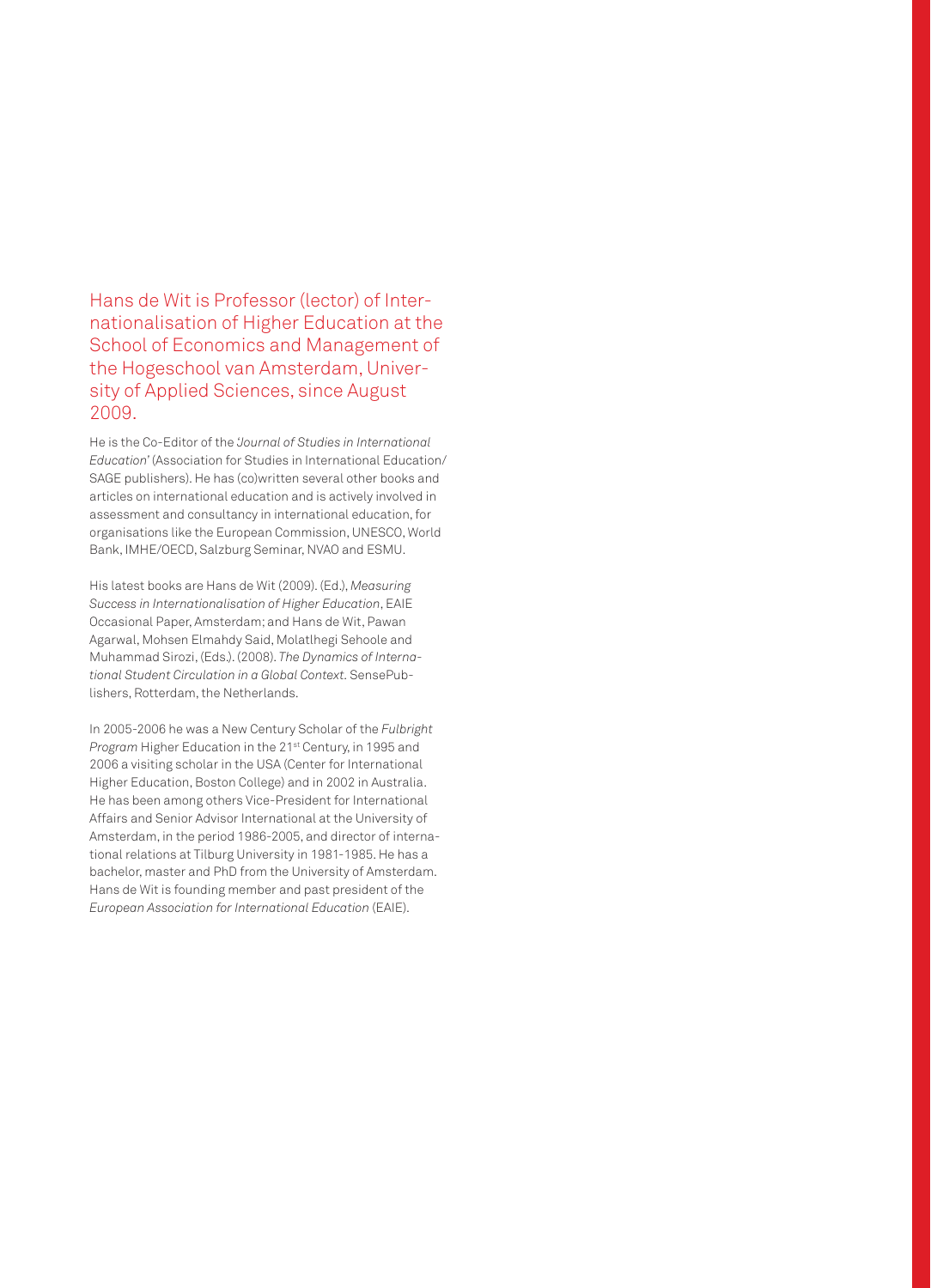Hans de Wit is Professor (lector) of Internationalisation of Higher Education at the School of Economics and Management of the Hogeschool van Amsterdam, University of Applied Sciences, since August 2009.

He is the Co-Editor of the *'Journal of Studies in International Education'* (Association for Studies in International Education/ SAGE publishers). He has (co)written several other books and articles on international education and is actively involved in assessment and consultancy in international education, for organisations like the European Commission, UNESCO, World Bank, IMHE/OECD, Salzburg Seminar, NVAO and ESMU.

His latest books are Hans de Wit (2009). (Ed.), *Measuring Success in Internationalisation of Higher Education*, EAIE Occasional Paper, Amsterdam; and Hans de Wit, Pawan Agarwal, Mohsen Elmahdy Said, Molatlhegi Sehoole and Muhammad Sirozi, (Eds.). (2008). *The Dynamics of International Student Circulation in a Global Context.* SensePublishers, Rotterdam, the Netherlands.

In 2005-2006 he was a New Century Scholar of the *Fulbright Program* Higher Education in the 21st Century, in 1995 and 2006 a visiting scholar in the USA (Center for International Higher Education, Boston College) and in 2002 in Australia. He has been among others Vice-President for International Affairs and Senior Advisor International at the University of Amsterdam, in the period 1986-2005, and director of international relations at Tilburg University in 1981-1985. He has a bachelor, master and PhD from the University of Amsterdam. Hans de Wit is founding member and past president of the *European Association for International Education* (EAIE).